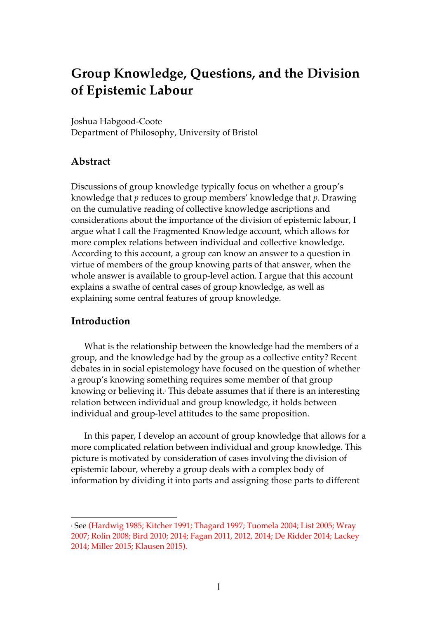# **Group Knowledge, Questions, and the Division of Epistemic Labour**

Joshua Habgood-Coote Department of Philosophy, University of Bristol

### **Abstract**

Discussions of group knowledge typically focus on whether a group's knowledge that *p* reduces to group members' knowledge that *p*. Drawing on the cumulative reading of collective knowledge ascriptions and considerations about the importance of the division of epistemic labour, I argue what I call the Fragmented Knowledge account, which allows for more complex relations between individual and collective knowledge. According to this account, a group can know an answer to a question in virtue of members of the group knowing parts of that answer, when the whole answer is available to group-level action. I argue that this account explains a swathe of central cases of group knowledge, as well as explaining some central features of group knowledge.

### **Introduction**

 $\overline{a}$ 

What is the relationship between the knowledge had the members of a group, and the knowledge had by the group as a collective entity? Recent debates in in social epistemology have focused on the question of whether a group's knowing something requires some member of that group knowing or believing it. <sup>1</sup> This debate assumes that if there is an interesting relation between individual and group knowledge, it holds between individual and group-level attitudes to the same proposition.

In this paper, I develop an account of group knowledge that allows for a more complicated relation between individual and group knowledge. This picture is motivated by consideration of cases involving the division of epistemic labour, whereby a group deals with a complex body of information by dividing it into parts and assigning those parts to different

<sup>1</sup> See (Hardwig 1985; Kitcher 1991; Thagard 1997; Tuomela 2004; List 2005; Wray 2007; Rolin 2008; Bird 2010; 2014; Fagan 2011, 2012, 2014; De Ridder 2014; Lackey 2014; Miller 2015; Klausen 2015).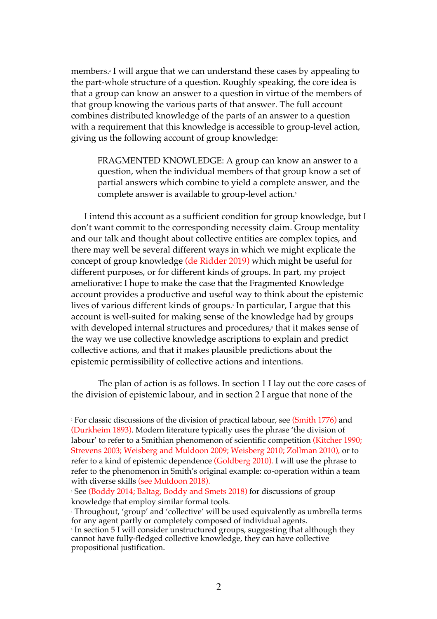members.2 I will argue that we can understand these cases by appealing to the part-whole structure of a question. Roughly speaking, the core idea is that a group can know an answer to a question in virtue of the members of that group knowing the various parts of that answer. The full account combines distributed knowledge of the parts of an answer to a question with a requirement that this knowledge is accessible to group-level action, giving us the following account of group knowledge:

FRAGMENTED KNOWLEDGE: A group can know an answer to a question, when the individual members of that group know a set of partial answers which combine to yield a complete answer, and the complete answer is available to group-level action.<sup>3</sup>

I intend this account as a sufficient condition for group knowledge, but I don't want commit to the corresponding necessity claim. Group mentality and our talk and thought about collective entities are complex topics, and there may well be several different ways in which we might explicate the concept of group knowledge (de Ridder 2019) which might be useful for different purposes, or for different kinds of groups. In part, my project ameliorative: I hope to make the case that the Fragmented Knowledge account provides a productive and useful way to think about the epistemic lives of various different kinds of groups.4 In particular, I argue that this account is well-suited for making sense of the knowledge had by groups with developed internal structures and procedures,<sup>5</sup> that it makes sense of the way we use collective knowledge ascriptions to explain and predict collective actions, and that it makes plausible predictions about the epistemic permissibility of collective actions and intentions.

The plan of action is as follows. In section 1 I lay out the core cases of the division of epistemic labour, and in section 2 I argue that none of the

<sup>&</sup>lt;sup>2</sup> For classic discussions of the division of practical labour, see (Smith 1776) and (Durkheim 1893). Modern literature typically uses the phrase 'the division of labour' to refer to a Smithian phenomenon of scientific competition (Kitcher 1990; Strevens 2003; Weisberg and Muldoon 2009; Weisberg 2010; Zollman 2010), or to refer to a kind of epistemic dependence (Goldberg 2010). I will use the phrase to refer to the phenomenon in Smith's original example: co-operation within a team with diverse skills (see Muldoon 2018).

<sup>&</sup>lt;sup>3</sup> See (Boddy 2014; Baltag, Boddy and Smets 2018) for discussions of group knowledge that employ similar formal tools.

<sup>4</sup> Throughout, 'group' and 'collective' will be used equivalently as umbrella terms for any agent partly or completely composed of individual agents.

<sup>&</sup>lt;sup>5</sup> In section 5 I will consider unstructured groups, suggesting that although they cannot have fully-fledged collective knowledge, they can have collective propositional justification.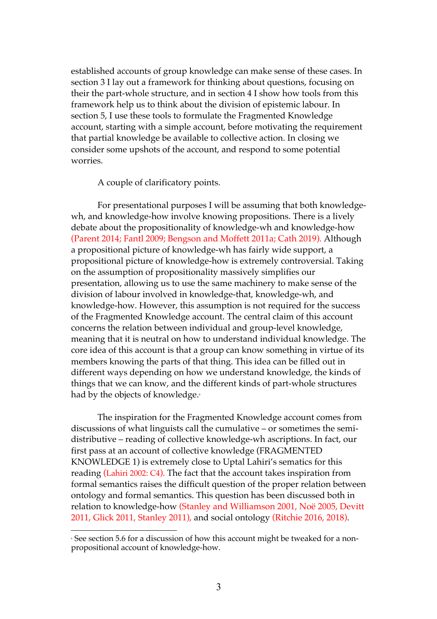established accounts of group knowledge can make sense of these cases. In section 3 I lay out a framework for thinking about questions, focusing on their the part-whole structure, and in section 4 I show how tools from this framework help us to think about the division of epistemic labour. In section 5, I use these tools to formulate the Fragmented Knowledge account, starting with a simple account, before motivating the requirement that partial knowledge be available to collective action. In closing we consider some upshots of the account, and respond to some potential worries.

A couple of clarificatory points.

For presentational purposes I will be assuming that both knowledgewh, and knowledge-how involve knowing propositions. There is a lively debate about the propositionality of knowledge-wh and knowledge-how (Parent 2014; Fantl 2009; Bengson and Moffett 2011a; Cath 2019). Although a propositional picture of knowledge-wh has fairly wide support, a propositional picture of knowledge-how is extremely controversial. Taking on the assumption of propositionality massively simplifies our presentation, allowing us to use the same machinery to make sense of the division of labour involved in knowledge-that, knowledge-wh, and knowledge-how. However, this assumption is not required for the success of the Fragmented Knowledge account. The central claim of this account concerns the relation between individual and group-level knowledge, meaning that it is neutral on how to understand individual knowledge. The core idea of this account is that a group can know something in virtue of its members knowing the parts of that thing. This idea can be filled out in different ways depending on how we understand knowledge, the kinds of things that we can know, and the different kinds of part-whole structures had by the objects of knowledge. 6

The inspiration for the Fragmented Knowledge account comes from discussions of what linguists call the cumulative – or sometimes the semidistributive – reading of collective knowledge-wh ascriptions. In fact, our first pass at an account of collective knowledge (FRAGMENTED KNOWLEDGE 1) is extremely close to Uptal Lahiri's sematics for this reading (Lahiri 2002: C4). The fact that the account takes inspiration from formal semantics raises the difficult question of the proper relation between ontology and formal semantics. This question has been discussed both in relation to knowledge-how (Stanley and Williamson 2001, Noë 2005, Devitt 2011, Glick 2011, Stanley 2011), and social ontology (Ritchie 2016, 2018).

<sup>6</sup> See section 5.6 for a discussion of how this account might be tweaked for a nonpropositional account of knowledge-how.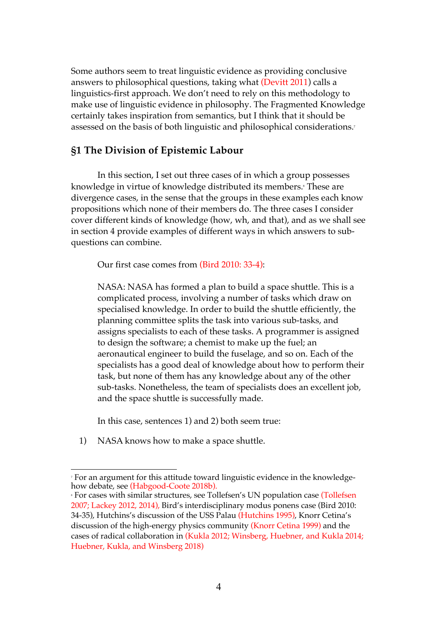Some authors seem to treat linguistic evidence as providing conclusive answers to philosophical questions, taking what (Devitt 2011) calls a linguistics-first approach. We don't need to rely on this methodology to make use of linguistic evidence in philosophy. The Fragmented Knowledge certainly takes inspiration from semantics, but I think that it should be assessed on the basis of both linguistic and philosophical considerations.7

### **§1 The Division of Epistemic Labour**

In this section, I set out three cases of in which a group possesses knowledge in virtue of knowledge distributed its members. <sup>8</sup> These are divergence cases, in the sense that the groups in these examples each know propositions which none of their members do. The three cases I consider cover different kinds of knowledge (how, wh, and that), and as we shall see in section 4 provide examples of different ways in which answers to subquestions can combine.

Our first case comes from (Bird 2010: 33-4):

NASA: NASA has formed a plan to build a space shuttle. This is a complicated process, involving a number of tasks which draw on specialised knowledge. In order to build the shuttle efficiently, the planning committee splits the task into various sub-tasks, and assigns specialists to each of these tasks. A programmer is assigned to design the software; a chemist to make up the fuel; an aeronautical engineer to build the fuselage, and so on. Each of the specialists has a good deal of knowledge about how to perform their task, but none of them has any knowledge about any of the other sub-tasks. Nonetheless, the team of specialists does an excellent job, and the space shuttle is successfully made.

In this case, sentences 1) and 2) both seem true:

1) NASA knows how to make a space shuttle.

 $\overline{a}$ <sup>7</sup> For an argument for this attitude toward linguistic evidence in the knowledgehow debate, see (Habgood-Coote 2018b).

<sup>&</sup>lt;sup>8</sup> For cases with similar structures, see Tollefsen's UN population case (Tollefsen 2007; Lackey 2012, 2014), Bird's interdisciplinary modus ponens case (Bird 2010: 34-35), Hutchins's discussion of the USS Palau (Hutchins 1995), Knorr Cetina's discussion of the high-energy physics community (Knorr Cetina 1999) and the cases of radical collaboration in (Kukla 2012; Winsberg, Huebner, and Kukla 2014; Huebner, Kukla, and Winsberg 2018)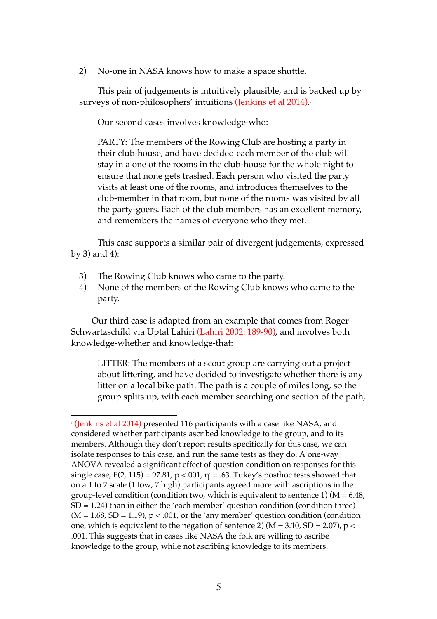2) No-one in NASA knows how to make a space shuttle.

This pair of judgements is intuitively plausible, and is backed up by surveys of non-philosophers' intuitions (Jenkins et al 2014). 9

Our second cases involves knowledge-who:

PARTY: The members of the Rowing Club are hosting a party in their club-house, and have decided each member of the club will stay in a one of the rooms in the club-house for the whole night to ensure that none gets trashed. Each person who visited the party visits at least one of the rooms, and introduces themselves to the club-member in that room, but none of the rooms was visited by all the party-goers. Each of the club members has an excellent memory, and remembers the names of everyone who they met.

This case supports a similar pair of divergent judgements, expressed by 3) and 4):

3) The Rowing Club knows who came to the party.

 $\overline{a}$ 

4) None of the members of the Rowing Club knows who came to the party.

Our third case is adapted from an example that comes from Roger Schwartzschild via Uptal Lahiri (Lahiri 2002: 189-90), and involves both knowledge-whether and knowledge-that:

LITTER: The members of a scout group are carrying out a project about littering, and have decided to investigate whether there is any litter on a local bike path. The path is a couple of miles long, so the group splits up, with each member searching one section of the path,

<sup>9</sup> (Jenkins et al 2014) presented 116 participants with a case like NASA, and considered whether participants ascribed knowledge to the group, and to its members. Although they don't report results specifically for this case, we can isolate responses to this case, and run the same tests as they do. A one-way ANOVA revealed a significant effect of question condition on responses for this single case,  $F(2, 115) = 97.81$ ,  $p < .001$ ,  $\eta = .63$ . Tukey's posthoc tests showed that on a 1 to 7 scale (1 low, 7 high) participants agreed more with ascriptions in the group-level condition (condition two, which is equivalent to sentence 1) ( $M = 6.48$ ,  $SD = 1.24$ ) than in either the 'each member' question condition (condition three)  $(M = 1.68, SD = 1.19)$ ,  $p < .001$ , or the 'any member' question condition (condition one, which is equivalent to the negation of sentence 2) ( $M = 3.10$ ,  $SD = 2.07$ ),  $p <$ .001. This suggests that in cases like NASA the folk are willing to ascribe knowledge to the group, while not ascribing knowledge to its members.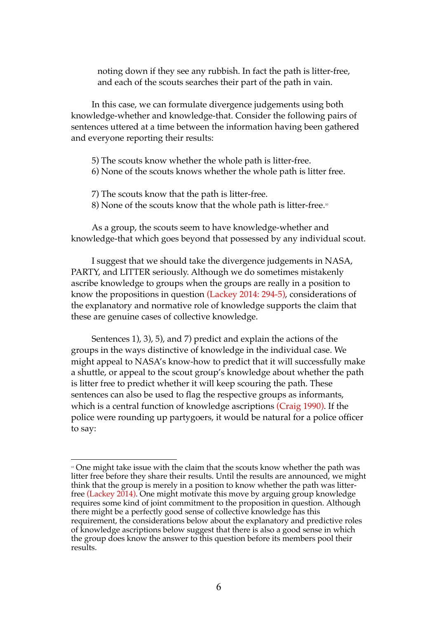noting down if they see any rubbish. In fact the path is litter-free, and each of the scouts searches their part of the path in vain.

In this case, we can formulate divergence judgements using both knowledge-whether and knowledge-that. Consider the following pairs of sentences uttered at a time between the information having been gathered and everyone reporting their results:

- 5) The scouts know whether the whole path is litter-free.
- 6) None of the scouts knows whether the whole path is litter free.
- 7) The scouts know that the path is litter-free.
- 8) None of the scouts know that the whole path is litter-free.

As a group, the scouts seem to have knowledge-whether and knowledge-that which goes beyond that possessed by any individual scout.

I suggest that we should take the divergence judgements in NASA, PARTY, and LITTER seriously. Although we do sometimes mistakenly ascribe knowledge to groups when the groups are really in a position to know the propositions in question (Lackey 2014: 294-5), considerations of the explanatory and normative role of knowledge supports the claim that these are genuine cases of collective knowledge.

Sentences 1), 3), 5), and 7) predict and explain the actions of the groups in the ways distinctive of knowledge in the individual case. We might appeal to NASA's know-how to predict that it will successfully make a shuttle, or appeal to the scout group's knowledge about whether the path is litter free to predict whether it will keep scouring the path. These sentences can also be used to flag the respective groups as informants, which is a central function of knowledge ascriptions (Craig 1990). If the police were rounding up partygoers, it would be natural for a police officer to say:

<sup>&</sup>lt;sup>10</sup> One might take issue with the claim that the scouts know whether the path was litter free before they share their results. Until the results are announced, we might think that the group is merely in a position to know whether the path was litterfree (Lackey 2014). One might motivate this move by arguing group knowledge requires some kind of joint commitment to the proposition in question. Although there might be a perfectly good sense of collective knowledge has this requirement, the considerations below about the explanatory and predictive roles of knowledge ascriptions below suggest that there is also a good sense in which the group does know the answer to this question before its members pool their results.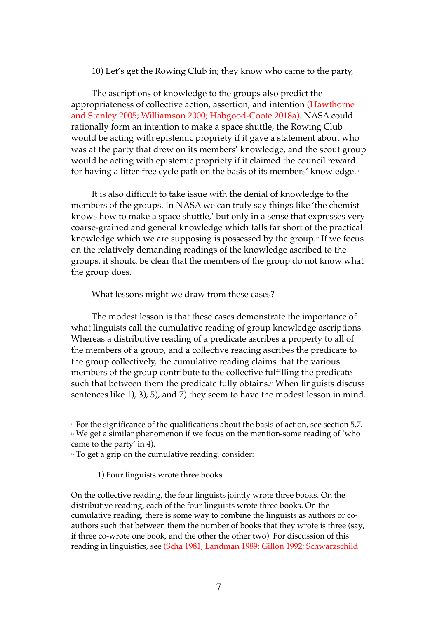#### 10) Let's get the Rowing Club in; they know who came to the party,

The ascriptions of knowledge to the groups also predict the appropriateness of collective action, assertion, and intention (Hawthorne and Stanley 2005; Williamson 2000; Habgood-Coote 2018a). NASA could rationally form an intention to make a space shuttle, the Rowing Club would be acting with epistemic propriety if it gave a statement about who was at the party that drew on its members' knowledge, and the scout group would be acting with epistemic propriety if it claimed the council reward for having a litter-free cycle path on the basis of its members' knowledge.<sub>"</sub>

It is also difficult to take issue with the denial of knowledge to the members of the groups. In NASA we can truly say things like 'the chemist knows how to make a space shuttle,' but only in a sense that expresses very coarse-grained and general knowledge which falls far short of the practical knowledge which we are supposing is possessed by the group.<sup>12</sup> If we focus on the relatively demanding readings of the knowledge ascribed to the groups, it should be clear that the members of the group do not know what the group does.

#### What lessons might we draw from these cases?

The modest lesson is that these cases demonstrate the importance of what linguists call the cumulative reading of group knowledge ascriptions. Whereas a distributive reading of a predicate ascribes a property to all of the members of a group, and a collective reading ascribes the predicate to the group collectively, the cumulative reading claims that the various members of the group contribute to the collective fulfilling the predicate such that between them the predicate fully obtains. <sup>13</sup> When linguists discuss sentences like 1), 3), 5), and 7) they seem to have the modest lesson in mind.

1) Four linguists wrote three books.

On the collective reading, the four linguists jointly wrote three books. On the distributive reading, each of the four linguists wrote three books. On the cumulative reading, there is some way to combine the linguists as authors or coauthors such that between them the number of books that they wrote is three (say, if three co-wrote one book, and the other the other two). For discussion of this reading in linguistics, see (Scha 1981; Landman 1989; Gillon 1992; Schwarzschild

 $\overline{a}$ <sup>11</sup> For the significance of the qualifications about the basis of action, see section 5.7.

<sup>&</sup>lt;sup>12</sup> We get a similar phenomenon if we focus on the mention-some reading of 'who came to the party' in 4).

<sup>&</sup>lt;sup>13</sup> To get a grip on the cumulative reading, consider: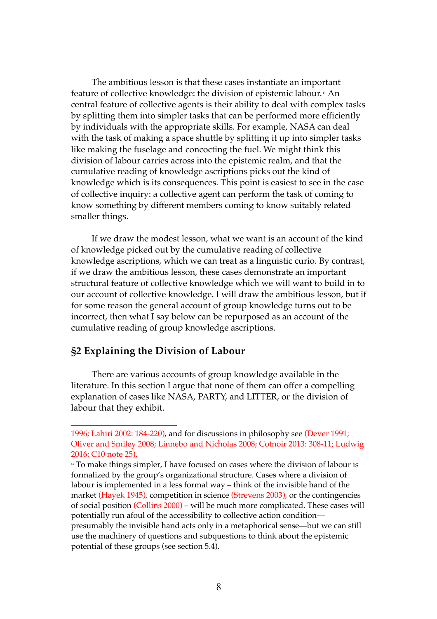The ambitious lesson is that these cases instantiate an important feature of collective knowledge: the division of epistemic labour. <sup>14</sup> An central feature of collective agents is their ability to deal with complex tasks by splitting them into simpler tasks that can be performed more efficiently by individuals with the appropriate skills. For example, NASA can deal with the task of making a space shuttle by splitting it up into simpler tasks like making the fuselage and concocting the fuel. We might think this division of labour carries across into the epistemic realm, and that the cumulative reading of knowledge ascriptions picks out the kind of knowledge which is its consequences. This point is easiest to see in the case of collective inquiry: a collective agent can perform the task of coming to know something by different members coming to know suitably related smaller things.

If we draw the modest lesson, what we want is an account of the kind of knowledge picked out by the cumulative reading of collective knowledge ascriptions, which we can treat as a linguistic curio. By contrast, if we draw the ambitious lesson, these cases demonstrate an important structural feature of collective knowledge which we will want to build in to our account of collective knowledge. I will draw the ambitious lesson, but if for some reason the general account of group knowledge turns out to be incorrect, then what I say below can be repurposed as an account of the cumulative reading of group knowledge ascriptions.

### **§2 Explaining the Division of Labour**

 $\overline{a}$ 

There are various accounts of group knowledge available in the literature. In this section I argue that none of them can offer a compelling explanation of cases like NASA, PARTY, and LITTER, or the division of labour that they exhibit.

<sup>1996;</sup> Lahiri 2002: 184-220), and for discussions in philosophy see (Dever 1991; Oliver and Smiley 2008; Linnebo and Nicholas 2008; Cotnoir 2013: 308-11; Ludwig 2016: C10 note 25).

<sup>&</sup>lt;sup>14</sup> To make things simpler, I have focused on cases where the division of labour is formalized by the group's organizational structure. Cases where a division of labour is implemented in a less formal way – think of the invisible hand of the market (Hayek 1945), competition in science (Strevens 2003), or the contingencies of social position (Collins 2000) – will be much more complicated. These cases will potentially run afoul of the accessibility to collective action condition presumably the invisible hand acts only in a metaphorical sense—but we can still use the machinery of questions and subquestions to think about the epistemic potential of these groups (see section 5.4).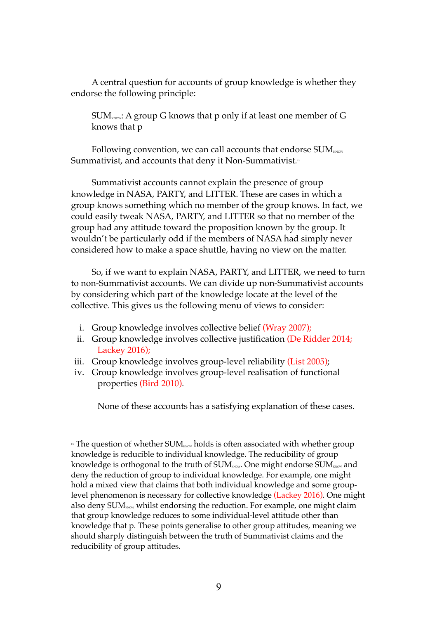A central question for accounts of group knowledge is whether they endorse the following principle:

 $SUM_{kNOW}:$  A group G knows that p only if at least one member of G knows that p

Following convention, we can call accounts that endorse  $SUM_{\tiny\text{Row}}$ Summativist, and accounts that deny it Non-Summativist*. 15*

Summativist accounts cannot explain the presence of group knowledge in NASA, PARTY, and LITTER. These are cases in which a group knows something which no member of the group knows. In fact, we could easily tweak NASA, PARTY, and LITTER so that no member of the group had any attitude toward the proposition known by the group. It wouldn't be particularly odd if the members of NASA had simply never considered how to make a space shuttle, having no view on the matter.

So, if we want to explain NASA, PARTY, and LITTER, we need to turn to non-Summativist accounts. We can divide up non-Summativist accounts by considering which part of the knowledge locate at the level of the collective. This gives us the following menu of views to consider:

i. Group knowledge involves collective belief (Wray 2007);

 $\overline{a}$ 

- ii. Group knowledge involves collective justification (De Ridder 2014; Lackey 2016);
- iii. Group knowledge involves group-level reliability (List 2005);
- iv. Group knowledge involves group-level realisation of functional properties (Bird 2010).

None of these accounts has a satisfying explanation of these cases.

 $15$  The question of whether SUM<sub>KNOW</sub> holds is often associated with whether group knowledge is reducible to individual knowledge. The reducibility of group knowledge is orthogonal to the truth of  $SUM_{\tiny KNOW}$ . One might endorse  $SUM_{\tiny KNOW}$  and deny the reduction of group to individual knowledge. For example, one might hold a mixed view that claims that both individual knowledge and some grouplevel phenomenon is necessary for collective knowledge (Lackey 2016). One might also deny  $SUM_{\text{now}}$  whilst endorsing the reduction. For example, one might claim that group knowledge reduces to some individual-level attitude other than knowledge that p. These points generalise to other group attitudes, meaning we should sharply distinguish between the truth of Summativist claims and the reducibility of group attitudes.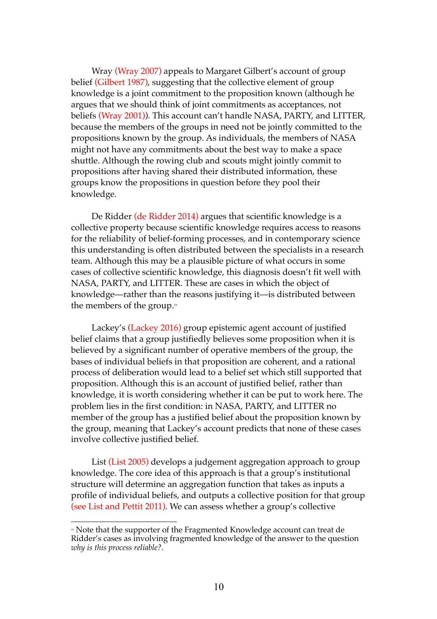Wray (Wray 2007) appeals to Margaret Gilbert's account of group belief (Gilbert 1987), suggesting that the collective element of group knowledge is a joint commitment to the proposition known (although he argues that we should think of joint commitments as acceptances, not beliefs (Wray 2001)). This account can't handle NASA, PARTY, and LITTER, because the members of the groups in need not be jointly committed to the propositions known by the group. As individuals, the members of NASA might not have any commitments about the best way to make a space shuttle. Although the rowing club and scouts might jointly commit to propositions after having shared their distributed information, these groups know the propositions in question before they pool their knowledge.

De Ridder (de Ridder 2014) argues that scientific knowledge is a collective property because scientific knowledge requires access to reasons for the reliability of belief-forming processes, and in contemporary science this understanding is often distributed between the specialists in a research team. Although this may be a plausible picture of what occurs in some cases of collective scientific knowledge, this diagnosis doesn't fit well with NASA, PARTY, and LITTER. These are cases in which the object of knowledge—rather than the reasons justifying it—is distributed between the members of the group.16

Lackey's (Lackey 2016) group epistemic agent account of justified belief claims that a group justifiedly believes some proposition when it is believed by a significant number of operative members of the group, the bases of individual beliefs in that proposition are coherent, and a rational process of deliberation would lead to a belief set which still supported that proposition. Although this is an account of justified belief, rather than knowledge, it is worth considering whether it can be put to work here. The problem lies in the first condition: in NASA, PARTY, and LITTER no member of the group has a justified belief about the proposition known by the group, meaning that Lackey's account predicts that none of these cases involve collective justified belief.

List (List 2005) develops a judgement aggregation approach to group knowledge. The core idea of this approach is that a group's institutional structure will determine an aggregation function that takes as inputs a profile of individual beliefs, and outputs a collective position for that group (see List and Pettit 2011). We can assess whether a group's collective

<sup>&</sup>lt;sup>16</sup> Note that the supporter of the Fragmented Knowledge account can treat de Ridder's cases as involving fragmented knowledge of the answer to the question *why is this process reliable?*.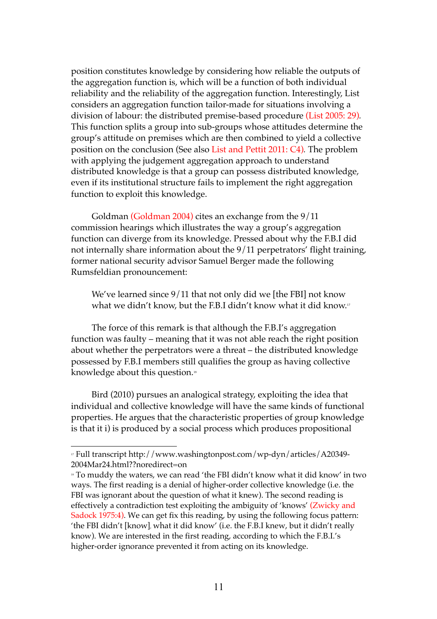position constitutes knowledge by considering how reliable the outputs of the aggregation function is, which will be a function of both individual reliability and the reliability of the aggregation function. Interestingly, List considers an aggregation function tailor-made for situations involving a division of labour: the distributed premise-based procedure (List 2005: 29)*.*  This function splits a group into sub-groups whose attitudes determine the group's attitude on premises which are then combined to yield a collective position on the conclusion (See also List and Pettit 2011: C4)*.* The problem with applying the judgement aggregation approach to understand distributed knowledge is that a group can possess distributed knowledge, even if its institutional structure fails to implement the right aggregation function to exploit this knowledge.

Goldman (Goldman 2004) cites an exchange from the 9/11 commission hearings which illustrates the way a group's aggregation function can diverge from its knowledge. Pressed about why the F.B.I did not internally share information about the 9/11 perpetrators' flight training, former national security advisor Samuel Berger made the following Rumsfeldian pronouncement:

We've learned since 9/11 that not only did we [the FBI] not know what we didn't know, but the F.B.I didn't know what it did know.<sup>17</sup>

The force of this remark is that although the F.B.I's aggregation function was faulty – meaning that it was not able reach the right position about whether the perpetrators were a threat – the distributed knowledge possessed by F.B.I members still qualifies the group as having collective knowledge about this question. 18

Bird (2010) pursues an analogical strategy, exploiting the idea that individual and collective knowledge will have the same kinds of functional properties. He argues that the characteristic properties of group knowledge is that it i) is produced by a social process which produces propositional

<sup>17</sup> Full transcript http://www.washingtonpost.com/wp-dyn/articles/A20349- 2004Mar24.html??noredirect=on

<sup>&</sup>lt;sup>18</sup> To muddy the waters, we can read 'the FBI didn't know what it did know' in two ways. The first reading is a denial of higher-order collective knowledge (i.e. the FBI was ignorant about the question of what it knew). The second reading is effectively a contradiction test exploiting the ambiguity of 'knows' (Zwicky and Sadock 1975:4). We can get fix this reading, by using the following focus pattern: 'the FBI didn't [know], what it did know' (i.e. the F.B.I knew, but it didn't really know). We are interested in the first reading, according to which the F.B.I.'s higher-order ignorance prevented it from acting on its knowledge.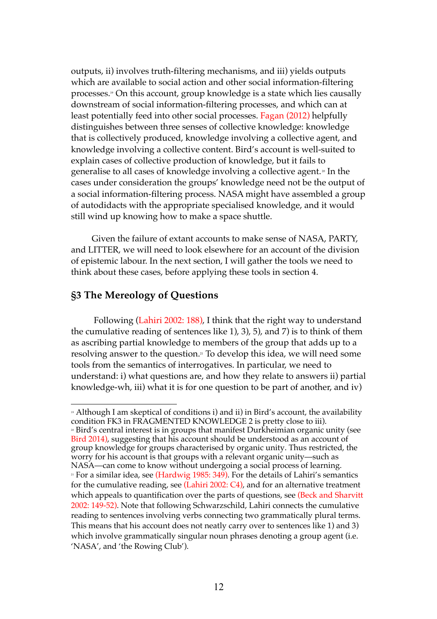outputs, ii) involves truth-filtering mechanisms, and iii) yields outputs which are available to social action and other social information-filtering processes. <sup>19</sup> On this account, group knowledge is a state which lies causally downstream of social information-filtering processes, and which can at least potentially feed into other social processes. Fagan (2012) helpfully distinguishes between three senses of collective knowledge: knowledge that is collectively produced, knowledge involving a collective agent, and knowledge involving a collective content. Bird's account is well-suited to explain cases of collective production of knowledge, but it fails to generalise to all cases of knowledge involving a collective agent.<sup>20</sup> In the cases under consideration the groups' knowledge need not be the output of a social information-filtering process. NASA might have assembled a group of autodidacts with the appropriate specialised knowledge, and it would still wind up knowing how to make a space shuttle.

Given the failure of extant accounts to make sense of NASA, PARTY, and LITTER, we will need to look elsewhere for an account of the division of epistemic labour. In the next section, I will gather the tools we need to think about these cases, before applying these tools in section 4.

### **§3 The Mereology of Questions**

Following (Lahiri 2002: 188), I think that the right way to understand the cumulative reading of sentences like 1), 3), 5), and 7) is to think of them as ascribing partial knowledge to members of the group that adds up to a resolving answer to the question.<sup>21</sup> To develop this idea, we will need some tools from the semantics of interrogatives. In particular, we need to understand: i) what questions are, and how they relate to answers ii) partial knowledge-wh, iii) what it is for one question to be part of another, and iv)

<sup>20</sup> Bird's central interest is in groups that manifest Durkheimian organic unity (see Bird 2014), suggesting that his account should be understood as an account of group knowledge for groups characterised by organic unity. Thus restricted, the worry for his account is that groups with a relevant organic unity—such as NASA—can come to know without undergoing a social process of learning. <sup>21</sup> For a similar idea, see (Hardwig 1985: 349). For the details of Lahiri's semantics for the cumulative reading, see (Lahiri 2002: C4), and for an alternative treatment which appeals to quantification over the parts of questions, see (Beck and Sharvitt 2002: 149-52). Note that following Schwarzschild, Lahiri connects the cumulative reading to sentences involving verbs connecting two grammatically plural terms. This means that his account does not neatly carry over to sentences like 1) and 3) which involve grammatically singular noun phrases denoting a group agent (i.e. 'NASA', and 'the Rowing Club').

 $\overline{a}$ <sup>19</sup> Although I am skeptical of conditions i) and ii) in Bird's account, the availability condition FK3 in FRAGMENTED KNOWLEDGE 2 is pretty close to iii).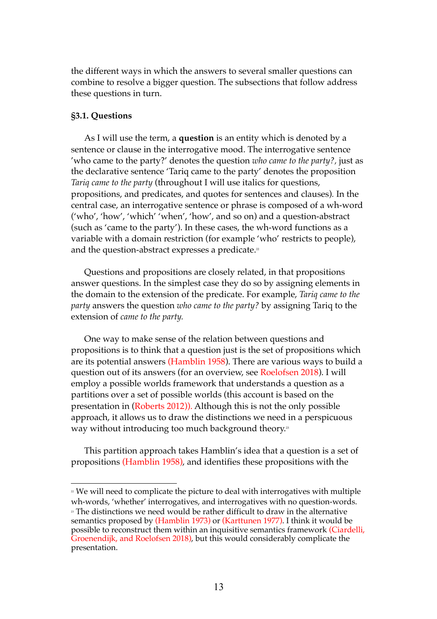the different ways in which the answers to several smaller questions can combine to resolve a bigger question. The subsections that follow address these questions in turn.

#### **§3.1. Questions**

 $\overline{a}$ 

As I will use the term, a **question** is an entity which is denoted by a sentence or clause in the interrogative mood. The interrogative sentence 'who came to the party?' denotes the question *who came to the party?,* just as the declarative sentence 'Tariq came to the party' denotes the proposition *Tariq came to the party* (throughout I will use italics for questions, propositions, and predicates, and quotes for sentences and clauses)*.* In the central case, an interrogative sentence or phrase is composed of a wh-word ('who', 'how', 'which' 'when', 'how', and so on) and a question-abstract (such as 'came to the party'). In these cases, the wh-word functions as a variable with a domain restriction (for example 'who' restricts to people), and the question-abstract expresses a predicate.<sup>22</sup>

Questions and propositions are closely related, in that propositions answer questions. In the simplest case they do so by assigning elements in the domain to the extension of the predicate. For example, *Tariq came to the party* answers the question *who came to the party?* by assigning Tariq to the extension of *came to the party.* 

One way to make sense of the relation between questions and propositions is to think that a question just is the set of propositions which are its potential answers (Hamblin 1958). There are various ways to build a question out of its answers (for an overview, see Roelofsen 2018). I will employ a possible worlds framework that understands a question as a partitions over a set of possible worlds (this account is based on the presentation in (Roberts 2012)). Although this is not the only possible approach, it allows us to draw the distinctions we need in a perspicuous way without introducing too much background theory."  $\,$ 

This partition approach takes Hamblin's idea that a question is a set of propositions (Hamblin 1958), and identifies these propositions with the

<sup>&</sup>lt;sup>22</sup> We will need to complicate the picture to deal with interrogatives with multiple wh-words, 'whether' interrogatives, and interrogatives with no question-words.

<sup>&</sup>lt;sup>2</sup> The distinctions we need would be rather difficult to draw in the alternative semantics proposed by (Hamblin 1973) or (Karttunen 1977). I think it would be possible to reconstruct them within an inquisitive semantics framework (Ciardelli, Groenendijk, and Roelofsen 2018), but this would considerably complicate the presentation.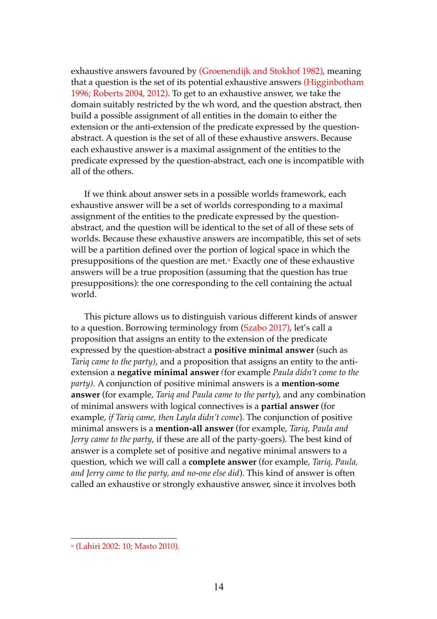exhaustive answers favoured by (Groenendijk and Stokhof 1982), meaning that a question is the set of its potential exhaustive answers (Higginbotham 1996; Roberts 2004, 2012). To get to an exhaustive answer, we take the domain suitably restricted by the wh word, and the question abstract, then build a possible assignment of all entities in the domain to either the extension or the anti-extension of the predicate expressed by the questionabstract. A question is the set of all of these exhaustive answers. Because each exhaustive answer is a maximal assignment of the entities to the predicate expressed by the question-abstract, each one is incompatible with all of the others.

If we think about answer sets in a possible worlds framework, each exhaustive answer will be a set of worlds corresponding to a maximal assignment of the entities to the predicate expressed by the questionabstract, and the question will be identical to the set of all of these sets of worlds. Because these exhaustive answers are incompatible, this set of sets will be a partition defined over the portion of logical space in which the presuppositions of the question are met.<sup>24</sup> Exactly one of these exhaustive answers will be a true proposition (assuming that the question has true presuppositions): the one corresponding to the cell containing the actual world.

This picture allows us to distinguish various different kinds of answer to a question. Borrowing terminology from (Szabo 2017), let's call a proposition that assigns an entity to the extension of the predicate expressed by the question-abstract a **positive minimal answer** (such as *Tariq came to the party)*, and a proposition that assigns an entity to the antiextension a **negative minimal answer** *(*for example *Paula didn't come to the party).* A conjunction of positive minimal answers is a **mention-some answer** (for example, *Tariq and Paula came to the party*), and any combination of minimal answers with logical connectives is a **partial answer** (for example, *if Tariq came, then Layla didn't come*). The conjunction of positive minimal answers is a **mention-all answer** (for example, *Tariq, Paula and Jerry came to the party*, if these are all of the party-goers). The best kind of answer is a complete set of positive and negative minimal answers to a question, which we will call a **complete answer** (for example, *Tariq, Paula, and Jerry came to the party, and no-one else did*). This kind of answer is often called an exhaustive or strongly exhaustive answer, since it involves both

<sup>24</sup> (Lahiri 2002: 10; Masto 2010).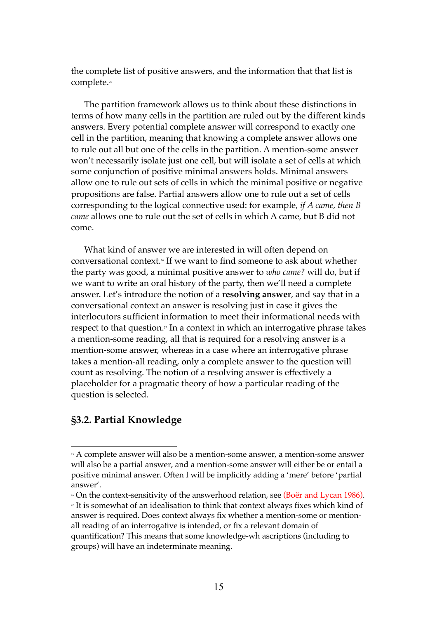the complete list of positive answers, and the information that that list is complete. 25

The partition framework allows us to think about these distinctions in terms of how many cells in the partition are ruled out by the different kinds answers. Every potential complete answer will correspond to exactly one cell in the partition, meaning that knowing a complete answer allows one to rule out all but one of the cells in the partition. A mention-some answer won't necessarily isolate just one cell, but will isolate a set of cells at which some conjunction of positive minimal answers holds. Minimal answers allow one to rule out sets of cells in which the minimal positive or negative propositions are false. Partial answers allow one to rule out a set of cells corresponding to the logical connective used: for example, *if A came, then B came* allows one to rule out the set of cells in which A came, but B did not come.

What kind of answer we are interested in will often depend on conversational context.<sup>8</sup> If we want to find someone to ask about whether the party was good, a minimal positive answer to *who came?* will do, but if we want to write an oral history of the party, then we'll need a complete answer. Let's introduce the notion of a **resolving answer***,* and say that in a conversational context an answer is resolving just in case it gives the interlocutors sufficient information to meet their informational needs with respect to that question. <sup>27</sup> In a context in which an interrogative phrase takes a mention-some reading, all that is required for a resolving answer is a mention-some answer, whereas in a case where an interrogative phrase takes a mention-all reading, only a complete answer to the question will count as resolving. The notion of a resolving answer is effectively a placeholder for a pragmatic theory of how a particular reading of the question is selected.

### **§3.2. Partial Knowledge**

<sup>&</sup>lt;sup>25</sup> A complete answer will also be a mention-some answer, a mention-some answer will also be a partial answer, and a mention-some answer will either be or entail a positive minimal answer. Often I will be implicitly adding a 'mere' before 'partial answer'.

<sup>&</sup>lt;sup>26</sup> On the context-sensitivity of the answerhood relation, see (Boër and Lycan 1986).

<sup>27</sup> It is somewhat of an idealisation to think that context always fixes which kind of answer is required. Does context always fix whether a mention-some or mentionall reading of an interrogative is intended, or fix a relevant domain of quantification? This means that some knowledge-wh ascriptions (including to groups) will have an indeterminate meaning.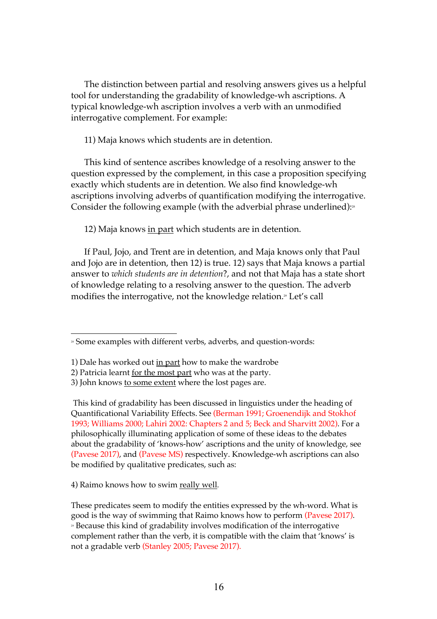The distinction between partial and resolving answers gives us a helpful tool for understanding the gradability of knowledge-wh ascriptions. A typical knowledge-wh ascription involves a verb with an unmodified interrogative complement. For example:

11) Maja knows which students are in detention.

This kind of sentence ascribes knowledge of a resolving answer to the question expressed by the complement, in this case a proposition specifying exactly which students are in detention. We also find knowledge-wh ascriptions involving adverbs of quantification modifying the interrogative. Consider the following example (with the adverbial phrase underlined): $\scriptstyle\rm s$ 

12) Maja knows in part which students are in detention.

If Paul, Jojo, and Trent are in detention, and Maja knows only that Paul and Jojo are in detention, then 12) is true. 12) says that Maja knows a partial answer to *which students are in detention*?, and not that Maja has a state short of knowledge relating to a resolving answer to the question. The adverb modifies the interrogative, not the knowledge relation.<sup>29</sup> Let's call

This kind of gradability has been discussed in linguistics under the heading of Quantificational Variability Effects. See (Berman 1991; Groenendijk and Stokhof 1993; Williams 2000; Lahiri 2002: Chapters 2 and 5; Beck and Sharvitt 2002). For a philosophically illuminating application of some of these ideas to the debates about the gradability of 'knows-how' ascriptions and the unity of knowledge, see (Pavese 2017), and (Pavese MS) respectively. Knowledge-wh ascriptions can also be modified by qualitative predicates, such as:

4) Raimo knows how to swim really well*.*

These predicates seem to modify the entities expressed by the wh-word. What is good is the way of swimming that Raimo knows how to perform (Pavese 2017). <sup>29</sup> Because this kind of gradability involves modification of the interrogative complement rather than the verb, it is compatible with the claim that 'knows' is not a gradable verb (Stanley 2005; Pavese 2017).

 $\overline{a}$ <sup>28</sup> Some examples with different verbs, adverbs, and question-words:

<sup>1)</sup> Dale has worked out in part how to make the wardrobe

<sup>2)</sup> Patricia learnt for the most part who was at the party.

<sup>3)</sup> John knows to some extent where the lost pages are.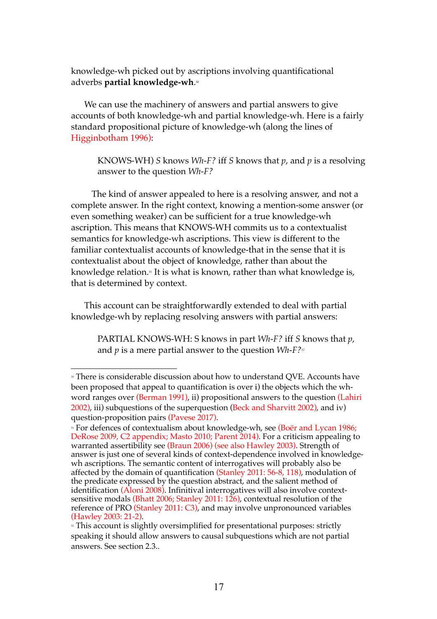knowledge-wh picked out by ascriptions involving quantificational adverbs **partial knowledge-wh**. 30

We can use the machinery of answers and partial answers to give accounts of both knowledge-wh and partial knowledge-wh. Here is a fairly standard propositional picture of knowledge-wh (along the lines of Higginbotham 1996):

KNOWS-WH) *S* knows *Wh-F?* iff *S* knows that *p*, and *p* is a resolving answer to the question *Wh-F?*

The kind of answer appealed to here is a resolving answer, and not a complete answer. In the right context, knowing a mention-some answer (or even something weaker) can be sufficient for a true knowledge-wh ascription. This means that KNOWS-WH commits us to a contextualist semantics for knowledge-wh ascriptions. This view is different to the familiar contextualist accounts of knowledge-that in the sense that it is contextualist about the object of knowledge, rather than about the knowledge relation.<sup>31</sup> It is what is known, rather than what knowledge is, that is determined by context.

This account can be straightforwardly extended to deal with partial knowledge-wh by replacing resolving answers with partial answers:

 $\overline{a}$ 

PARTIAL KNOWS-WH: S knows in part *Wh-F?* iff *S* knows that *p*, and  $p$  is a mere partial answer to the question  $Wh-F?222}$ 

<sup>»</sup> There is considerable discussion about how to understand QVE. Accounts have been proposed that appeal to quantification is over i) the objects which the whword ranges over (Berman 1991), ii) propositional answers to the question (Lahiri 2002), iii) subquestions of the superquestion (Beck and Sharvitt 2002), and iv) question-proposition pairs (Pavese 2017).

<sup>&</sup>lt;sup>31</sup> For defences of contextualism about knowledge-wh, see (Boër and Lycan 1986; DeRose 2009, C2 appendix; Masto 2010; Parent 2014). For a criticism appealing to warranted assertibility see (Braun 2006) (see also Hawley 2003). Strength of answer is just one of several kinds of context-dependence involved in knowledgewh ascriptions. The semantic content of interrogatives will probably also be affected by the domain of quantification (Stanley 2011:  $56-8$ , 118), modulation of the predicate expressed by the question abstract, and the salient method of identification (Aloni 2008). Infinitival interrogatives will also involve contextsensitive modals (Bhatt 2006; Stanley 2011: 126), contextual resolution of the reference of PRO (Stanley 2011: C3), and may involve unpronounced variables (Hawley 2003: 21-2).

<sup>&</sup>lt;sup>32</sup> This account is slightly oversimplified for presentational purposes: strictly speaking it should allow answers to causal subquestions which are not partial answers. See section 2.3..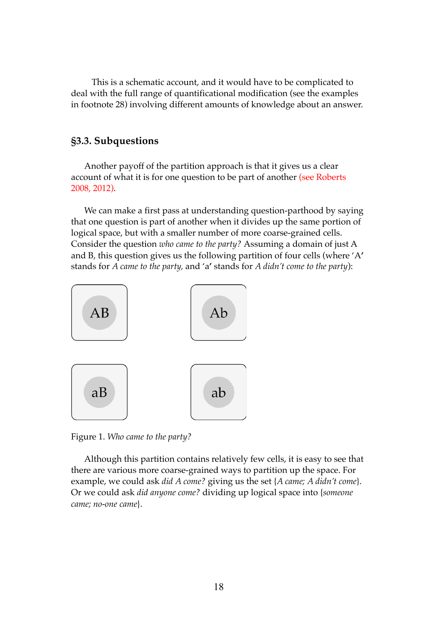This is a schematic account, and it would have to be complicated to deal with the full range of quantificational modification (see the examples in footnote 28) involving different amounts of knowledge about an answer.

### **§3.3. Subquestions**

Another payoff of the partition approach is that it gives us a clear account of what it is for one question to be part of another (see Roberts 2008, 2012).

We can make a first pass at understanding question-parthood by saying that one question is part of another when it divides up the same portion of logical space, but with a smaller number of more coarse-grained cells. Consider the question *who came to the party?* Assuming a domain of just A and B, this question gives us the following partition of four cells (where 'A**'** stands for *A came to the party,* and 'a**'** stands for *A didn't come to the party*):



Figure 1. *Who came to the party?*

Although this partition contains relatively few cells, it is easy to see that there are various more coarse-grained ways to partition up the space. For example, we could ask *did A come?* giving us the set {*A came; A didn't come*}. Or we could ask *did anyone come?* dividing up logical space into {*someone came; no-one came*}.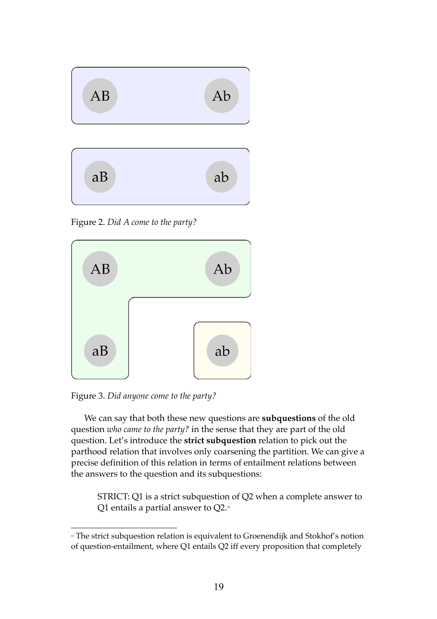

Figure 2. *Did A come to the party?*



Figure 3. *Did anyone come to the party?*

We can say that both these new questions are **subquestions** of the old question *who came to the party?* in the sense that they are part of the old question. Let's introduce the **strict subquestion** relation to pick out the parthood relation that involves only coarsening the partition. We can give a precise definition of this relation in terms of entailment relations between the answers to the question and its subquestions:

STRICT: Q1 is a strict subquestion of Q2 when a complete answer to Q1 entails a partial answer to  $Q2$ .<sup>33</sup>

 $\overline{a}$ <sup>33</sup> The strict subquestion relation is equivalent to Groenendijk and Stokhof's notion of question-entailment, where Q1 entails Q2 iff every proposition that completely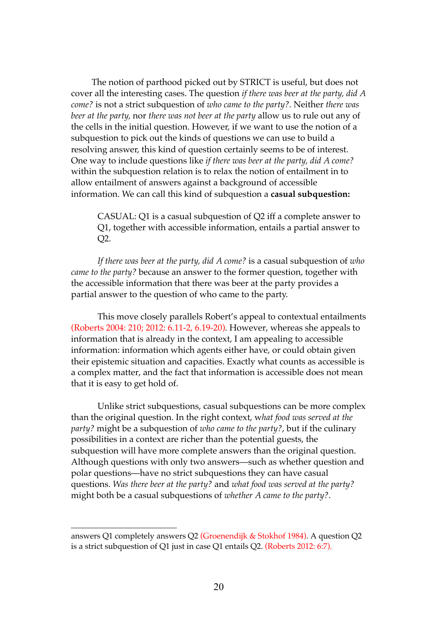The notion of parthood picked out by STRICT is useful, but does not cover all the interesting cases. The question *if there was beer at the party, did A come?* is not a strict subquestion of *who came to the party?.* Neither *there was beer at the party,* nor *there was not beer at the party* allow us to rule out any of the cells in the initial question. However, if we want to use the notion of a subquestion to pick out the kinds of questions we can use to build a resolving answer, this kind of question certainly seems to be of interest. One way to include questions like *if there was beer at the party, did A come?*  within the subquestion relation is to relax the notion of entailment in to allow entailment of answers against a background of accessible information. We can call this kind of subquestion a **casual subquestion:**

CASUAL: Q1 is a casual subquestion of Q2 iff a complete answer to Q1, together with accessible information, entails a partial answer to Q2.

*If there was beer at the party, did A come?* is a casual subquestion of *who came to the party?* because an answer to the former question, together with the accessible information that there was beer at the party provides a partial answer to the question of who came to the party.

This move closely parallels Robert's appeal to contextual entailments (Roberts 2004: 210; 2012: 6.11-2, 6.19-20). However, whereas she appeals to information that is already in the context, I am appealing to accessible information: information which agents either have, or could obtain given their epistemic situation and capacities. Exactly what counts as accessible is a complex matter, and the fact that information is accessible does not mean that it is easy to get hold of.

Unlike strict subquestions, casual subquestions can be more complex than the original question. In the right context, w*hat food was served at the party?* might be a subquestion of *who came to the party?*, but if the culinary possibilities in a context are richer than the potential guests, the subquestion will have more complete answers than the original question. Although questions with only two answers—such as whether question and polar questions—have no strict subquestions they can have casual questions. *Was there beer at the party?* and *what food was served at the party?*  might both be a casual subquestions of *whether A came to the party?*.

answers Q1 completely answers Q2 (Groenendijk & Stokhof 1984). A question Q2 is a strict subquestion of Q1 just in case Q1 entails Q2. (Roberts 2012: 6:7).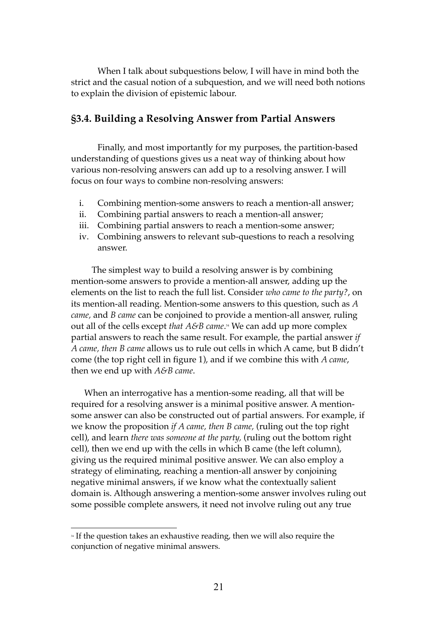When I talk about subquestions below, I will have in mind both the strict and the casual notion of a subquestion, and we will need both notions to explain the division of epistemic labour.

### **§3.4. Building a Resolving Answer from Partial Answers**

Finally, and most importantly for my purposes, the partition-based understanding of questions gives us a neat way of thinking about how various non-resolving answers can add up to a resolving answer. I will focus on four ways to combine non-resolving answers:

- i. Combining mention-some answers to reach a mention-all answer;
- ii. Combining partial answers to reach a mention-all answer;
- iii. Combining partial answers to reach a mention-some answer;
- iv. Combining answers to relevant sub-questions to reach a resolving answer.

The simplest way to build a resolving answer is by combining mention-some answers to provide a mention-all answer, adding up the elements on the list to reach the full list. Consider *who came to the party?*, on its mention-all reading. Mention-some answers to this question, such as *A came,* and *B came* can be conjoined to provide a mention-all answer, ruling out all of the cells except *that A&B came*. <sup>34</sup> We can add up more complex partial answers to reach the same result. For example, the partial answer *if A came, then B came* allows us to rule out cells in which A came, but B didn't come (the top right cell in figure 1), and if we combine this with *A came*, then we end up with *A&B came*.

When an interrogative has a mention-some reading, all that will be required for a resolving answer is a minimal positive answer. A mentionsome answer can also be constructed out of partial answers. For example, if we know the proposition *if A came, then B came,* (ruling out the top right cell), and learn *there was someone at the party,* (ruling out the bottom right cell), then we end up with the cells in which B came (the left column), giving us the required minimal positive answer. We can also employ a strategy of eliminating, reaching a mention-all answer by conjoining negative minimal answers, if we know what the contextually salient domain is. Although answering a mention-some answer involves ruling out some possible complete answers, it need not involve ruling out any true

 $\overline{a}$ <sup>34</sup> If the question takes an exhaustive reading, then we will also require the conjunction of negative minimal answers.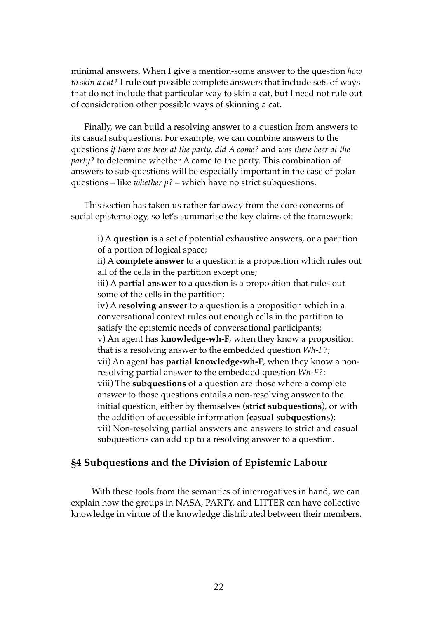minimal answers. When I give a mention-some answer to the question *how to skin a cat?* I rule out possible complete answers that include sets of ways that do not include that particular way to skin a cat, but I need not rule out of consideration other possible ways of skinning a cat.

Finally, we can build a resolving answer to a question from answers to its casual subquestions. For example, we can combine answers to the questions *if there was beer at the party, did A come?* and *was there beer at the party?* to determine whether A came to the party. This combination of answers to sub-questions will be especially important in the case of polar questions – like *whether p?* – which have no strict subquestions.

This section has taken us rather far away from the core concerns of social epistemology, so let's summarise the key claims of the framework:

i) A **question** is a set of potential exhaustive answers, or a partition of a portion of logical space;

ii) A **complete answer** to a question is a proposition which rules out all of the cells in the partition except one;

iii) A **partial answer** to a question is a proposition that rules out some of the cells in the partition;

iv) A **resolving answer** to a question is a proposition which in a conversational context rules out enough cells in the partition to satisfy the epistemic needs of conversational participants; v) An agent has **knowledge-wh-F**, when they know a proposition that is a resolving answer to the embedded question *Wh-F?*; vii) An agent has **partial knowledge-wh-F**, when they know a nonresolving partial answer to the embedded question *Wh-F?*; viii) The **subquestions** of a question are those where a complete answer to those questions entails a non-resolving answer to the initial question, either by themselves (**strict subquestions**), or with the addition of accessible information (**casual subquestions**); vii) Non-resolving partial answers and answers to strict and casual subquestions can add up to a resolving answer to a question.

### **§4 Subquestions and the Division of Epistemic Labour**

With these tools from the semantics of interrogatives in hand, we can explain how the groups in NASA, PARTY, and LITTER can have collective knowledge in virtue of the knowledge distributed between their members.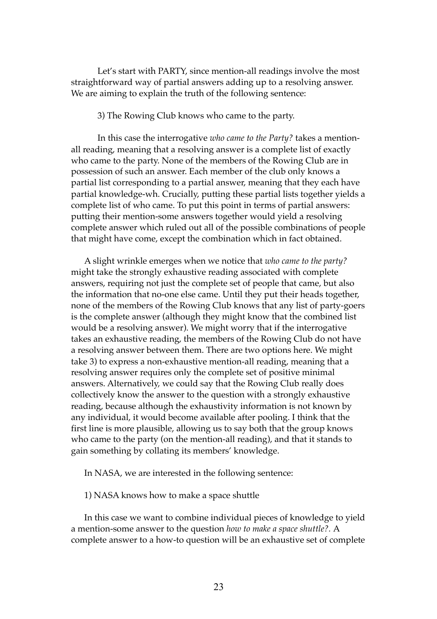Let's start with PARTY, since mention-all readings involve the most straightforward way of partial answers adding up to a resolving answer. We are aiming to explain the truth of the following sentence:

3) The Rowing Club knows who came to the party.

In this case the interrogative *who came to the Party?* takes a mentionall reading, meaning that a resolving answer is a complete list of exactly who came to the party. None of the members of the Rowing Club are in possession of such an answer. Each member of the club only knows a partial list corresponding to a partial answer, meaning that they each have partial knowledge-wh. Crucially, putting these partial lists together yields a complete list of who came. To put this point in terms of partial answers: putting their mention-some answers together would yield a resolving complete answer which ruled out all of the possible combinations of people that might have come, except the combination which in fact obtained.

A slight wrinkle emerges when we notice that *who came to the party?*  might take the strongly exhaustive reading associated with complete answers, requiring not just the complete set of people that came, but also the information that no-one else came. Until they put their heads together, none of the members of the Rowing Club knows that any list of party-goers is the complete answer (although they might know that the combined list would be a resolving answer). We might worry that if the interrogative takes an exhaustive reading, the members of the Rowing Club do not have a resolving answer between them. There are two options here. We might take 3) to express a non-exhaustive mention-all reading, meaning that a resolving answer requires only the complete set of positive minimal answers. Alternatively, we could say that the Rowing Club really does collectively know the answer to the question with a strongly exhaustive reading, because although the exhaustivity information is not known by any individual, it would become available after pooling. I think that the first line is more plausible, allowing us to say both that the group knows who came to the party (on the mention-all reading), and that it stands to gain something by collating its members' knowledge.

In NASA, we are interested in the following sentence:

1) NASA knows how to make a space shuttle

In this case we want to combine individual pieces of knowledge to yield a mention-some answer to the question *how to make a space shuttle?.* A complete answer to a how-to question will be an exhaustive set of complete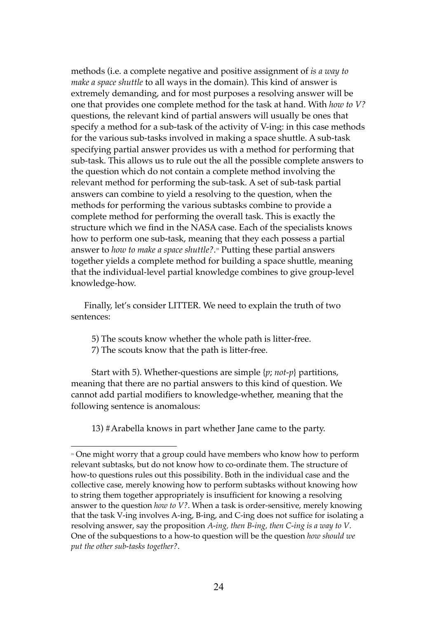methods (i.e. a complete negative and positive assignment of *is a way to make a space shuttle* to all ways in the domain). This kind of answer is extremely demanding, and for most purposes a resolving answer will be one that provides one complete method for the task at hand. With *how to V?* questions, the relevant kind of partial answers will usually be ones that specify a method for a sub-task of the activity of V-ing: in this case methods for the various sub-tasks involved in making a space shuttle. A sub-task specifying partial answer provides us with a method for performing that sub-task. This allows us to rule out the all the possible complete answers to the question which do not contain a complete method involving the relevant method for performing the sub-task. A set of sub-task partial answers can combine to yield a resolving to the question, when the methods for performing the various subtasks combine to provide a complete method for performing the overall task. This is exactly the structure which we find in the NASA case. Each of the specialists knows how to perform one sub-task, meaning that they each possess a partial answer to *how to make a space shuttle?*. <sup>35</sup> Putting these partial answers together yields a complete method for building a space shuttle, meaning that the individual-level partial knowledge combines to give group-level knowledge-how.

Finally, let's consider LITTER. We need to explain the truth of two sentences:

5) The scouts know whether the whole path is litter-free.

7) The scouts know that the path is litter-free.

 $\overline{a}$ 

Start with 5). Whether-questions are simple {*p*; *not-p*} partitions, meaning that there are no partial answers to this kind of question. We cannot add partial modifiers to knowledge-whether, meaning that the following sentence is anomalous:

13) #Arabella knows in part whether Jane came to the party.

<sup>&</sup>lt;sup>35</sup> One might worry that a group could have members who know how to perform relevant subtasks, but do not know how to co-ordinate them. The structure of how-to questions rules out this possibility. Both in the individual case and the collective case, merely knowing how to perform subtasks without knowing how to string them together appropriately is insufficient for knowing a resolving answer to the question *how to V?*. When a task is order-sensitive, merely knowing that the task V-ing involves A-ing, B-ing, and C-ing does not suffice for isolating a resolving answer, say the proposition *A-ing, then B-ing, then C-ing is a way to V*. One of the subquestions to a how-to question will be the question *how should we put the other sub-tasks together?*.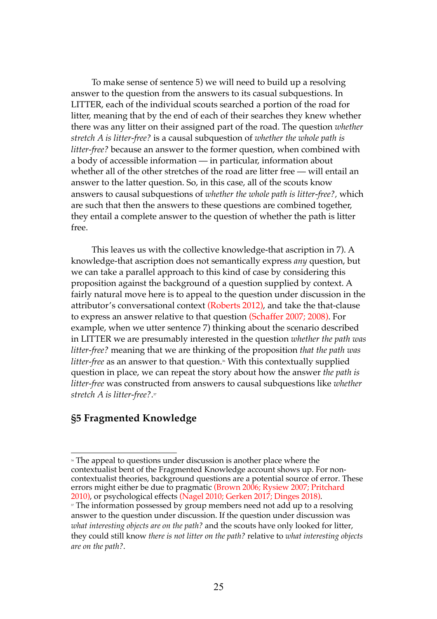To make sense of sentence 5) we will need to build up a resolving answer to the question from the answers to its casual subquestions. In LITTER, each of the individual scouts searched a portion of the road for litter, meaning that by the end of each of their searches they knew whether there was any litter on their assigned part of the road. The question *whether stretch A is litter-free?* is a causal subquestion of *whether the whole path is litter-free?* because an answer to the former question, when combined with a body of accessible information — in particular, information about whether all of the other stretches of the road are litter free — will entail an answer to the latter question. So, in this case, all of the scouts know answers to causal subquestions of *whether the whole path is litter-free?,* which are such that then the answers to these questions are combined together, they entail a complete answer to the question of whether the path is litter free.

This leaves us with the collective knowledge-that ascription in 7). A knowledge-that ascription does not semantically express *any* question, but we can take a parallel approach to this kind of case by considering this proposition against the background of a question supplied by context. A fairly natural move here is to appeal to the question under discussion in the attributor's conversational context (Roberts 2012), and take the that-clause to express an answer relative to that question (Schaffer 2007; 2008). For example, when we utter sentence 7) thinking about the scenario described in LITTER we are presumably interested in the question *whether the path was litter-free?* meaning that we are thinking of the proposition *that the path was litter-free* as an answer to that question. <sup>36</sup> With this contextually supplied question in place, we can repeat the story about how the answer *the path is litter-free* was constructed from answers to causal subquestions like *whether stretch A is litter-free?*. 37

### **§5 Fragmented Knowledge**

<sup>\*</sup> The appeal to questions under discussion is another place where the contextualist bent of the Fragmented Knowledge account shows up. For noncontextualist theories, background questions are a potential source of error. These errors might either be due to pragmatic (Brown 2006; Rysiew 2007; Pritchard 2010), or psychological effects (Nagel 2010; Gerken 2017; Dinges 2018).

<sup>&</sup>lt;sup>31</sup> The information possessed by group members need not add up to a resolving answer to the question under discussion. If the question under discussion was *what interesting objects are on the path?* and the scouts have only looked for litter, they could still know *there is not litter on the path?* relative to *what interesting objects are on the path?*.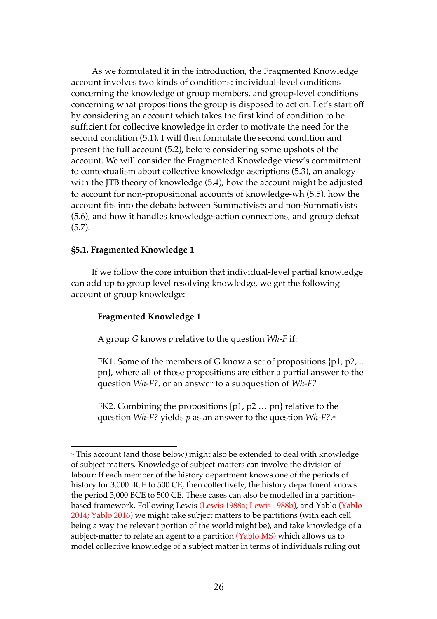As we formulated it in the introduction, the Fragmented Knowledge account involves two kinds of conditions: individual-level conditions concerning the knowledge of group members, and group-level conditions concerning what propositions the group is disposed to act on. Let's start off by considering an account which takes the first kind of condition to be sufficient for collective knowledge in order to motivate the need for the second condition (5.1). I will then formulate the second condition and present the full account (5.2), before considering some upshots of the account. We will consider the Fragmented Knowledge view's commitment to contextualism about collective knowledge ascriptions (5.3), an analogy with the JTB theory of knowledge (5.4), how the account might be adjusted to account for non-propositional accounts of knowledge-wh (5.5), how the account fits into the debate between Summativists and non-Summativists (5.6), and how it handles knowledge-action connections, and group defeat (5.7).

#### **§5.1. Fragmented Knowledge 1**

 $\overline{a}$ 

If we follow the core intuition that individual-level partial knowledge can add up to group level resolving knowledge, we get the following account of group knowledge:

#### **Fragmented Knowledge 1**

A group *G* knows *p* relative to the question *Wh-F* if:

FK1. Some of the members of G know a set of propositions {p1, p2, .. pn}, where all of those propositions are either a partial answer to the question *Wh-F?,* or an answer to a subquestion of *Wh-F?*

FK2. Combining the propositions {p1, p2 … pn} relative to the question *Wh-F?* yields *p* as an answer to the question *Wh-F?*. 38

<sup>&</sup>lt;sup>38</sup> This account (and those below) might also be extended to deal with knowledge of subject matters. Knowledge of subject-matters can involve the division of labour: If each member of the history department knows one of the periods of history for 3,000 BCE to 500 CE, then collectively, the history department knows the period 3,000 BCE to 500 CE. These cases can also be modelled in a partitionbased framework. Following Lewis (Lewis 1988a; Lewis 1988b), and Yablo (Yablo 2014; Yablo 2016) we might take subject matters to be partitions (with each cell being a way the relevant portion of the world might be), and take knowledge of a subject-matter to relate an agent to a partition (Yablo MS) which allows us to model collective knowledge of a subject matter in terms of individuals ruling out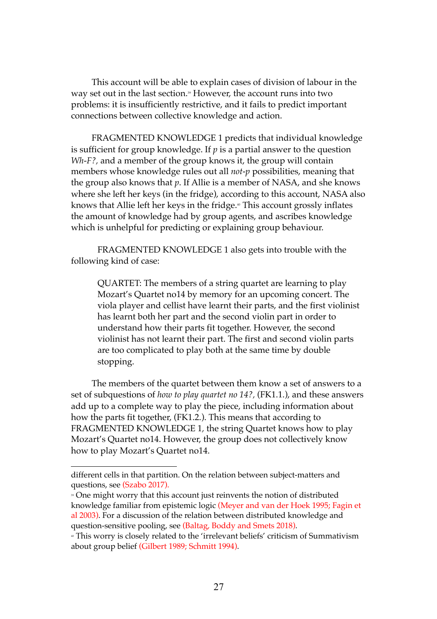This account will be able to explain cases of division of labour in the way set out in the last section.» However, the account runs into two problems: it is insufficiently restrictive, and it fails to predict important connections between collective knowledge and action.

FRAGMENTED KNOWLEDGE 1 predicts that individual knowledge is sufficient for group knowledge. If  $p$  is a partial answer to the question *Wh-F?,* and a member of the group knows it, the group will contain members whose knowledge rules out all *not-p* possibilities, meaning that the group also knows that *p*. If Allie is a member of NASA, and she knows where she left her keys (in the fridge), according to this account, NASA also knows that Allie left her keys in the fridge.<sup>40</sup> This account grossly inflates the amount of knowledge had by group agents, and ascribes knowledge which is unhelpful for predicting or explaining group behaviour.

FRAGMENTED KNOWLEDGE 1 also gets into trouble with the following kind of case:

QUARTET: The members of a string quartet are learning to play Mozart's Quartet no14 by memory for an upcoming concert. The viola player and cellist have learnt their parts, and the first violinist has learnt both her part and the second violin part in order to understand how their parts fit together. However, the second violinist has not learnt their part. The first and second violin parts are too complicated to play both at the same time by double stopping.

The members of the quartet between them know a set of answers to a set of subquestions of *how to play quartet no 14?,* (FK1.1.), and these answers add up to a complete way to play the piece, including information about how the parts fit together, (FK1.2.). This means that according to FRAGMENTED KNOWLEDGE 1*,* the string Quartet knows how to play Mozart's Quartet no14. However, the group does not collectively know how to play Mozart's Quartet no14.

different cells in that partition. On the relation between subject-matters and questions, see (Szabo 2017).

<sup>39</sup> One might worry that this account just reinvents the notion of distributed knowledge familiar from epistemic logic (Meyer and van der Hoek 1995; Fagin et al 2003). For a discussion of the relation between distributed knowledge and question-sensitive pooling, see (Baltag, Boddy and Smets 2018).

<sup>40</sup> This worry is closely related to the 'irrelevant beliefs' criticism of Summativism about group belief (Gilbert 1989; Schmitt 1994).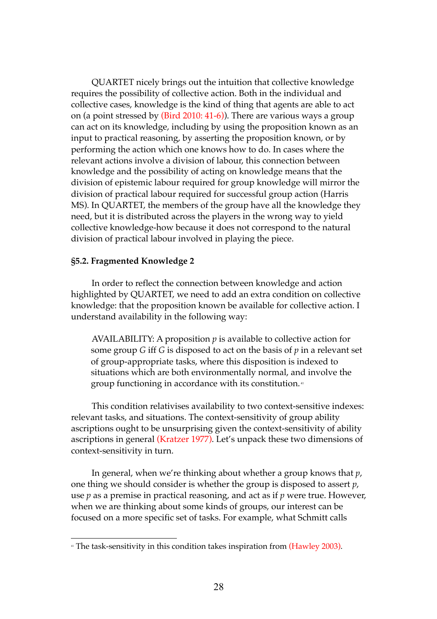QUARTET nicely brings out the intuition that collective knowledge requires the possibility of collective action. Both in the individual and collective cases, knowledge is the kind of thing that agents are able to act on (a point stressed by (Bird 2010: 41-6)). There are various ways a group can act on its knowledge, including by using the proposition known as an input to practical reasoning, by asserting the proposition known, or by performing the action which one knows how to do. In cases where the relevant actions involve a division of labour, this connection between knowledge and the possibility of acting on knowledge means that the division of epistemic labour required for group knowledge will mirror the division of practical labour required for successful group action (Harris MS). In QUARTET, the members of the group have all the knowledge they need, but it is distributed across the players in the wrong way to yield collective knowledge-how because it does not correspond to the natural division of practical labour involved in playing the piece.

#### **§5.2. Fragmented Knowledge 2**

 $\overline{a}$ 

In order to reflect the connection between knowledge and action highlighted by QUARTET, we need to add an extra condition on collective knowledge: that the proposition known be available for collective action. I understand availability in the following way:

AVAILABILITY: A proposition  $p$  is available to collective action for some group *G* iff *G* is disposed to act on the basis of *p* in a relevant set of group-appropriate tasks, where this disposition is indexed to situations which are both environmentally normal, and involve the group functioning in accordance with its constitution. <sup>41</sup>

This condition relativises availability to two context-sensitive indexes: relevant tasks, and situations. The context-sensitivity of group ability ascriptions ought to be unsurprising given the context-sensitivity of ability ascriptions in general (Kratzer 1977). Let's unpack these two dimensions of context-sensitivity in turn.

In general, when we're thinking about whether a group knows that *p*, one thing we should consider is whether the group is disposed to assert *p*, use *p* as a premise in practical reasoning, and act as if *p* were true. However, when we are thinking about some kinds of groups, our interest can be focused on a more specific set of tasks. For example, what Schmitt calls

<sup>&</sup>lt;sup>41</sup> The task-sensitivity in this condition takes inspiration from (Hawley 2003).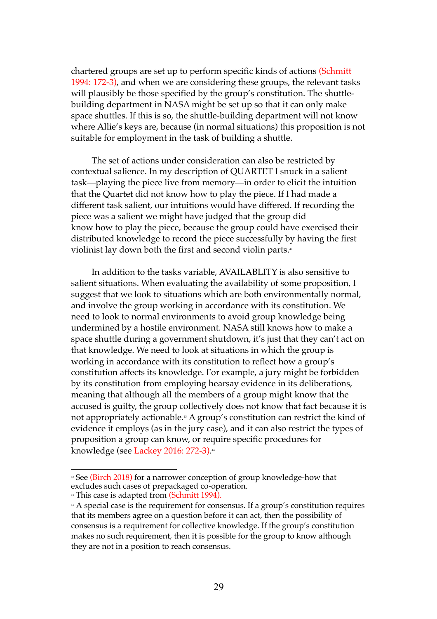chartered groups are set up to perform specific kinds of actions (Schmitt 1994: 172-3), and when we are considering these groups, the relevant tasks will plausibly be those specified by the group's constitution. The shuttlebuilding department in NASA might be set up so that it can only make space shuttles. If this is so, the shuttle-building department will not know where Allie's keys are, because (in normal situations) this proposition is not suitable for employment in the task of building a shuttle.

The set of actions under consideration can also be restricted by contextual salience. In my description of QUARTET I snuck in a salient task—playing the piece live from memory—in order to elicit the intuition that the Quartet did not know how to play the piece. If I had made a different task salient, our intuitions would have differed. If recording the piece was a salient we might have judged that the group did know how to play the piece, because the group could have exercised their distributed knowledge to record the piece successfully by having the first violinist lay down both the first and second violin parts.<sup>42</sup>

In addition to the tasks variable, AVAILABLITY is also sensitive to salient situations. When evaluating the availability of some proposition, I suggest that we look to situations which are both environmentally normal, and involve the group working in accordance with its constitution. We need to look to normal environments to avoid group knowledge being undermined by a hostile environment. NASA still knows how to make a space shuttle during a government shutdown, it's just that they can't act on that knowledge. We need to look at situations in which the group is working in accordance with its constitution to reflect how a group's constitution affects its knowledge. For example, a jury might be forbidden by its constitution from employing hearsay evidence in its deliberations, meaning that although all the members of a group might know that the accused is guilty, the group collectively does not know that fact because it is not appropriately actionable. <sup>43</sup> A group's constitution can restrict the kind of evidence it employs (as in the jury case), and it can also restrict the types of proposition a group can know, or require specific procedures for knowledge (see Lackey 2016: 272-3). 44

 $\overline{a}$ <sup>42</sup> See (Birch 2018) for a narrower conception of group knowledge-how that excludes such cases of prepackaged co-operation.<br>
<sup>4</sup> This case is adapted from (Schmitt 1994).

<sup>44</sup> A special case is the requirement for consensus. If a group's constitution requires that its members agree on a question before it can act, then the possibility of consensus is a requirement for collective knowledge. If the group's constitution makes no such requirement, then it is possible for the group to know although they are not in a position to reach consensus.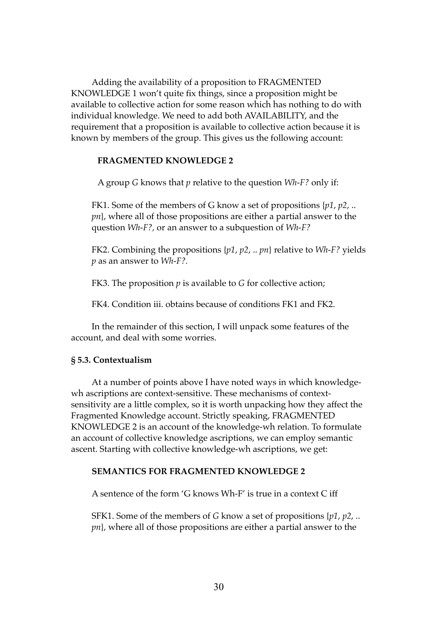Adding the availability of a proposition to FRAGMENTED KNOWLEDGE 1 won't quite fix things, since a proposition might be available to collective action for some reason which has nothing to do with individual knowledge. We need to add both AVAILABILITY, and the requirement that a proposition is available to collective action because it is known by members of the group. This gives us the following account:

#### **FRAGMENTED KNOWLEDGE 2**

A group *G* knows that *p* relative to the question *Wh-F?* only if:

FK1. Some of the members of G know a set of propositions {*p1*, *p2*, .. *pn*}, where all of those propositions are either a partial answer to the question *Wh-F?,* or an answer to a subquestion of *Wh-F?*

FK2. Combining the propositions {*p1*, *p2*, .. *pn*} relative to *Wh-F?* yields *p* as an answer to *Wh-F?.*

FK3. The proposition *p* is available to *G* for collective action;

FK4. Condition iii. obtains because of conditions FK1 and FK2.

In the remainder of this section, I will unpack some features of the account, and deal with some worries.

#### **§ 5.3. Contextualism**

At a number of points above I have noted ways in which knowledgewh ascriptions are context-sensitive. These mechanisms of contextsensitivity are a little complex, so it is worth unpacking how they affect the Fragmented Knowledge account. Strictly speaking, FRAGMENTED KNOWLEDGE 2 is an account of the knowledge-wh relation. To formulate an account of collective knowledge ascriptions, we can employ semantic ascent. Starting with collective knowledge-wh ascriptions, we get:

### **SEMANTICS FOR FRAGMENTED KNOWLEDGE 2**

A sentence of the form 'G knows Wh-F' is true in a context C iff

SFK1. Some of the members of *G* know a set of propositions {*p1*, *p2*, .. *pn*}, where all of those propositions are either a partial answer to the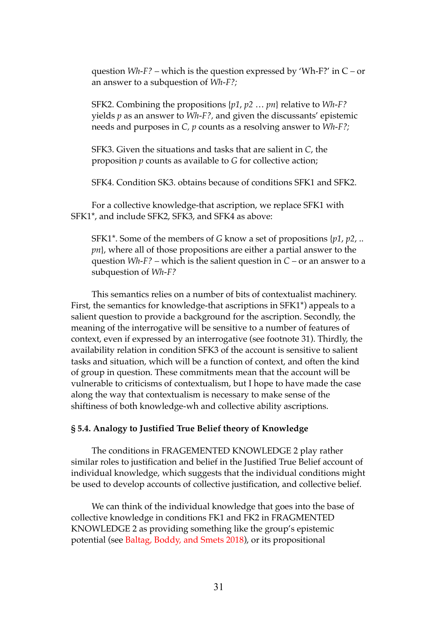question *Wh-F? –* which is the question expressed by 'Wh-F?' in C *–* or an answer to a subquestion of *Wh-F?;*

SFK2. Combining the propositions {*p1*, *p2* … *pn*} relative to *Wh-F?* yields *p* as an answer to *Wh-F?,* and given the discussants' epistemic needs and purposes in *C, p* counts as a resolving answer to *Wh-F?;*

SFK3. Given the situations and tasks that are salient in *C*, the proposition *p* counts as available to *G* for collective action;

SFK4. Condition SK3. obtains because of conditions SFK1 and SFK2.

For a collective knowledge-that ascription, we replace SFK1 with SFK1\*, and include SFK2, SFK3, and SFK4 as above:

SFK1\*. Some of the members of *G* know a set of propositions {*p1*, *p2*, .. *pn*}, where all of those propositions are either a partial answer to the question *Wh-F? –* which is the salient question in *C –* or an answer to a subquestion of *Wh-F?*

This semantics relies on a number of bits of contextualist machinery. First, the semantics for knowledge-that ascriptions in SFK1\*) appeals to a salient question to provide a background for the ascription. Secondly, the meaning of the interrogative will be sensitive to a number of features of context, even if expressed by an interrogative (see footnote 31). Thirdly, the availability relation in condition SFK3 of the account is sensitive to salient tasks and situation, which will be a function of context, and often the kind of group in question. These commitments mean that the account will be vulnerable to criticisms of contextualism, but I hope to have made the case along the way that contextualism is necessary to make sense of the shiftiness of both knowledge-wh and collective ability ascriptions.

#### **§ 5.4. Analogy to Justified True Belief theory of Knowledge**

The conditions in FRAGEMENTED KNOWLEDGE 2 play rather similar roles to justification and belief in the Justified True Belief account of individual knowledge, which suggests that the individual conditions might be used to develop accounts of collective justification, and collective belief.

We can think of the individual knowledge that goes into the base of collective knowledge in conditions FK1 and FK2 in FRAGMENTED KNOWLEDGE 2 as providing something like the group's epistemic potential (see Baltag, Boddy, and Smets 2018), or its propositional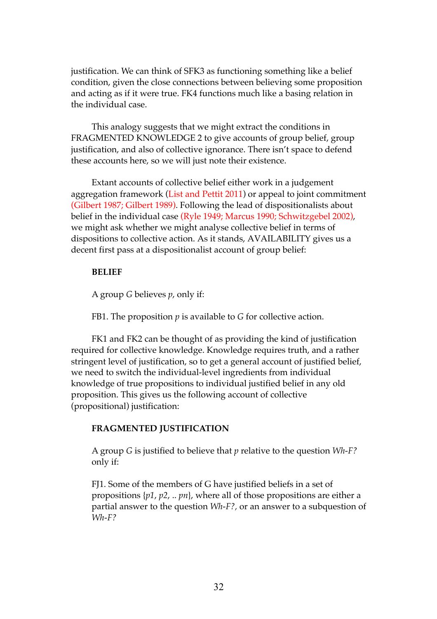justification. We can think of SFK3 as functioning something like a belief condition, given the close connections between believing some proposition and acting as if it were true. FK4 functions much like a basing relation in the individual case.

This analogy suggests that we might extract the conditions in FRAGMENTED KNOWLEDGE 2 to give accounts of group belief, group justification, and also of collective ignorance. There isn't space to defend these accounts here, so we will just note their existence.

Extant accounts of collective belief either work in a judgement aggregation framework (List and Pettit 2011) or appeal to joint commitment (Gilbert 1987; Gilbert 1989). Following the lead of dispositionalists about belief in the individual case (Ryle 1949; Marcus 1990; Schwitzgebel 2002), we might ask whether we might analyse collective belief in terms of dispositions to collective action. As it stands, AVAILABILITY gives us a decent first pass at a dispositionalist account of group belief:

#### **BELIEF**

A group *G* believes *p*, only if:

FB1. The proposition *p* is available to *G* for collective action.

FK1 and FK2 can be thought of as providing the kind of justification required for collective knowledge. Knowledge requires truth, and a rather stringent level of justification, so to get a general account of justified belief, we need to switch the individual-level ingredients from individual knowledge of true propositions to individual justified belief in any old proposition. This gives us the following account of collective (propositional) justification:

### **FRAGMENTED JUSTIFICATION**

A group *G* is justified to believe that *p* relative to the question *Wh-F?*  only if:

FJ1. Some of the members of G have justified beliefs in a set of propositions {*p1*, *p2*, .. *pn*}, where all of those propositions are either a partial answer to the question *Wh-F?,* or an answer to a subquestion of *Wh-F?*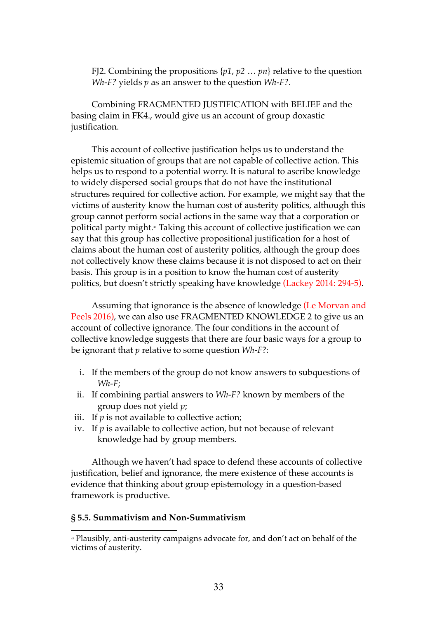FJ2. Combining the propositions {*p1*, *p2* … *pn*} relative to the question *Wh-F?* yields *p* as an answer to the question *Wh-F?.*

Combining FRAGMENTED JUSTIFICATION with BELIEF and the basing claim in FK4., would give us an account of group doxastic justification.

This account of collective justification helps us to understand the epistemic situation of groups that are not capable of collective action. This helps us to respond to a potential worry. It is natural to ascribe knowledge to widely dispersed social groups that do not have the institutional structures required for collective action. For example, we might say that the victims of austerity know the human cost of austerity politics, although this group cannot perform social actions in the same way that a corporation or political party might. <sup>45</sup> Taking this account of collective justification we can say that this group has collective propositional justification for a host of claims about the human cost of austerity politics, although the group does not collectively know these claims because it is not disposed to act on their basis. This group is in a position to know the human cost of austerity politics, but doesn't strictly speaking have knowledge (Lackey 2014: 294-5).

Assuming that ignorance is the absence of knowledge (Le Morvan and Peels 2016), we can also use FRAGMENTED KNOWLEDGE 2 to give us an account of collective ignorance. The four conditions in the account of collective knowledge suggests that there are four basic ways for a group to be ignorant that *p* relative to some question *Wh-F*?:

- i. If the members of the group do not know answers to subquestions of *Wh-F*;
- ii. If combining partial answers to *Wh-F?* known by members of the group does not yield *p*;
- iii. If  $p$  is not available to collective action;
- iv. If *p* is available to collective action, but not because of relevant knowledge had by group members.

Although we haven't had space to defend these accounts of collective justification, belief and ignorance, the mere existence of these accounts is evidence that thinking about group epistemology in a question-based framework is productive.

#### **§ 5.5. Summativism and Non-Summativism**

<sup>45</sup> Plausibly, anti-austerity campaigns advocate for, and don't act on behalf of the victims of austerity.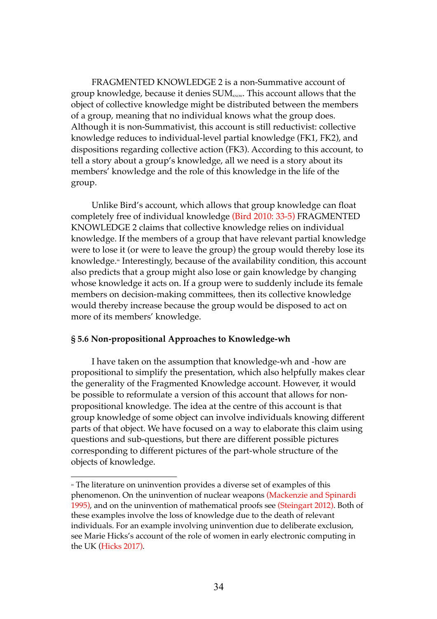FRAGMENTED KNOWLEDGE 2 is a non-Summative account of group knowledge, because it denies  $SUM_{\tiny\text{K30W}}$ . This account allows that the object of collective knowledge might be distributed between the members of a group, meaning that no individual knows what the group does. Although it is non-Summativist, this account is still reductivist: collective knowledge reduces to individual-level partial knowledge (FK1, FK2), and dispositions regarding collective action (FK3). According to this account, to tell a story about a group's knowledge, all we need is a story about its members' knowledge and the role of this knowledge in the life of the group.

Unlike Bird's account, which allows that group knowledge can float completely free of individual knowledge (Bird 2010: 33-5) FRAGMENTED KNOWLEDGE 2 claims that collective knowledge relies on individual knowledge. If the members of a group that have relevant partial knowledge were to lose it (or were to leave the group) the group would thereby lose its knowledge. <sup>46</sup> Interestingly, because of the availability condition, this account also predicts that a group might also lose or gain knowledge by changing whose knowledge it acts on. If a group were to suddenly include its female members on decision-making committees, then its collective knowledge would thereby increase because the group would be disposed to act on more of its members' knowledge.

#### **§ 5.6 Non-propositional Approaches to Knowledge-wh**

 $\overline{a}$ 

I have taken on the assumption that knowledge-wh and -how are propositional to simplify the presentation, which also helpfully makes clear the generality of the Fragmented Knowledge account. However, it would be possible to reformulate a version of this account that allows for nonpropositional knowledge. The idea at the centre of this account is that group knowledge of some object can involve individuals knowing different parts of that object. We have focused on a way to elaborate this claim using questions and sub-questions, but there are different possible pictures corresponding to different pictures of the part-whole structure of the objects of knowledge.

<sup>46</sup> The literature on uninvention provides a diverse set of examples of this phenomenon. On the uninvention of nuclear weapons (Mackenzie and Spinardi 1995), and on the uninvention of mathematical proofs see (Steingart 2012). Both of these examples involve the loss of knowledge due to the death of relevant individuals. For an example involving uninvention due to deliberate exclusion, see Marie Hicks's account of the role of women in early electronic computing in the UK (Hicks 2017).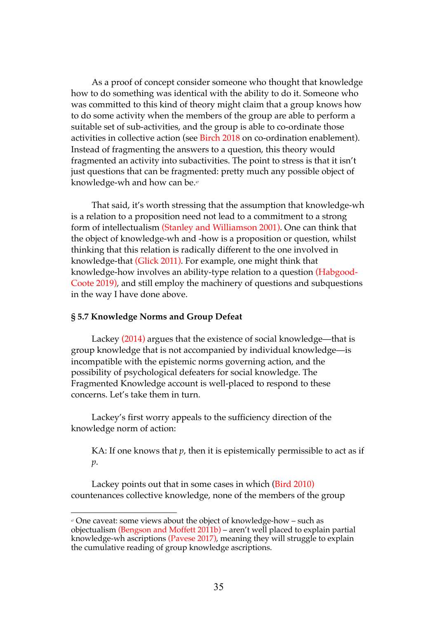As a proof of concept consider someone who thought that knowledge how to do something was identical with the ability to do it. Someone who was committed to this kind of theory might claim that a group knows how to do some activity when the members of the group are able to perform a suitable set of sub-activities, and the group is able to co-ordinate those activities in collective action (see Birch 2018 on co-ordination enablement). Instead of fragmenting the answers to a question, this theory would fragmented an activity into subactivities. The point to stress is that it isn't just questions that can be fragmented: pretty much any possible object of knowledge-wh and how can be.<sup>47</sup>

That said, it's worth stressing that the assumption that knowledge-wh is a relation to a proposition need not lead to a commitment to a strong form of intellectualism (Stanley and Williamson 2001). One can think that the object of knowledge-wh and -how is a proposition or question, whilst thinking that this relation is radically different to the one involved in knowledge-that (Glick 2011). For example, one might think that knowledge-how involves an ability-type relation to a question (Habgood-Coote 2019), and still employ the machinery of questions and subquestions in the way I have done above.

#### **§ 5.7 Knowledge Norms and Group Defeat**

 $\overline{a}$ 

Lackey (2014) argues that the existence of social knowledge—that is group knowledge that is not accompanied by individual knowledge—is incompatible with the epistemic norms governing action, and the possibility of psychological defeaters for social knowledge. The Fragmented Knowledge account is well-placed to respond to these concerns. Let's take them in turn.

Lackey's first worry appeals to the sufficiency direction of the knowledge norm of action:

KA: If one knows that  $p$ , then it is epistemically permissible to act as if *p*.

Lackey points out that in some cases in which (Bird 2010) countenances collective knowledge, none of the members of the group

<sup>47</sup> One caveat: some views about the object of knowledge-how – such as objectualism (Bengson and Moffett 2011b) – aren't well placed to explain partial knowledge-wh ascriptions (Pavese 2017), meaning they will struggle to explain the cumulative reading of group knowledge ascriptions.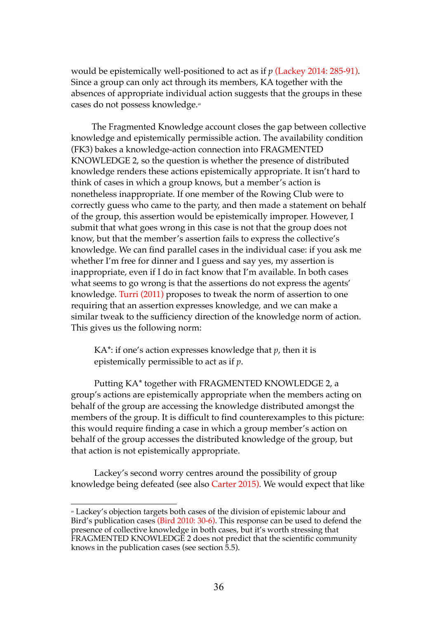would be epistemically well-positioned to act as if *p* (Lackey 2014: 285-91). Since a group can only act through its members, KA together with the absences of appropriate individual action suggests that the groups in these cases do not possess knowledge.<sup>48</sup>

The Fragmented Knowledge account closes the gap between collective knowledge and epistemically permissible action. The availability condition (FK3) bakes a knowledge-action connection into FRAGMENTED KNOWLEDGE 2, so the question is whether the presence of distributed knowledge renders these actions epistemically appropriate. It isn't hard to think of cases in which a group knows, but a member's action is nonetheless inappropriate. If one member of the Rowing Club were to correctly guess who came to the party, and then made a statement on behalf of the group, this assertion would be epistemically improper. However, I submit that what goes wrong in this case is not that the group does not know, but that the member's assertion fails to express the collective's knowledge. We can find parallel cases in the individual case: if you ask me whether I'm free for dinner and I guess and say yes, my assertion is inappropriate, even if I do in fact know that I'm available. In both cases what seems to go wrong is that the assertions do not express the agents' knowledge. Turri (2011) proposes to tweak the norm of assertion to one requiring that an assertion expresses knowledge, and we can make a similar tweak to the sufficiency direction of the knowledge norm of action. This gives us the following norm:

KA\*: if one's action expresses knowledge that *p*, then it is epistemically permissible to act as if *p*.

Putting KA\* together with FRAGMENTED KNOWLEDGE 2, a group's actions are epistemically appropriate when the members acting on behalf of the group are accessing the knowledge distributed amongst the members of the group. It is difficult to find counterexamples to this picture: this would require finding a case in which a group member's action on behalf of the group accesses the distributed knowledge of the group, but that action is not epistemically appropriate.

Lackey's second worry centres around the possibility of group knowledge being defeated (see also Carter 2015). We would expect that like

 $\overline{a}$ <sup>48</sup> Lackey's objection targets both cases of the division of epistemic labour and Bird's publication cases (Bird 2010: 30-6). This response can be used to defend the presence of collective knowledge in both cases, but it's worth stressing that FRAGMENTED KNOWLEDGE 2 does not predict that the scientific community knows in the publication cases (see section 5.5).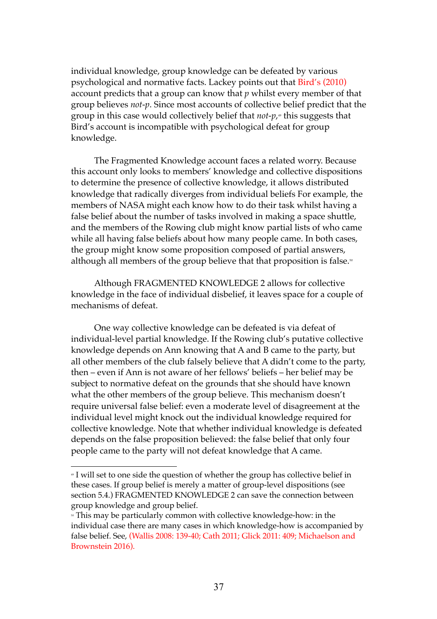individual knowledge, group knowledge can be defeated by various psychological and normative facts. Lackey points out that Bird's (2010) account predicts that a group can know that *p* whilst every member of that group believes *not-p*. Since most accounts of collective belief predict that the group in this case would collectively belief that *not-p*,<sub>"</sub> this suggests that Bird's account is incompatible with psychological defeat for group knowledge.

The Fragmented Knowledge account faces a related worry. Because this account only looks to members' knowledge and collective dispositions to determine the presence of collective knowledge, it allows distributed knowledge that radically diverges from individual beliefs For example, the members of NASA might each know how to do their task whilst having a false belief about the number of tasks involved in making a space shuttle, and the members of the Rowing club might know partial lists of who came while all having false beliefs about how many people came. In both cases, the group might know some proposition composed of partial answers, although all members of the group believe that that proposition is false.<sup>50</sup>

Although FRAGMENTED KNOWLEDGE 2 allows for collective knowledge in the face of individual disbelief, it leaves space for a couple of mechanisms of defeat.

One way collective knowledge can be defeated is via defeat of individual-level partial knowledge. If the Rowing club's putative collective knowledge depends on Ann knowing that A and B came to the party, but all other members of the club falsely believe that A didn't come to the party, then – even if Ann is not aware of her fellows' beliefs – her belief may be subject to normative defeat on the grounds that she should have known what the other members of the group believe. This mechanism doesn't require universal false belief: even a moderate level of disagreement at the individual level might knock out the individual knowledge required for collective knowledge. Note that whether individual knowledge is defeated depends on the false proposition believed: the false belief that only four people came to the party will not defeat knowledge that A came.

<sup>&</sup>lt;sup>4</sup> I will set to one side the question of whether the group has collective belief in these cases. If group belief is merely a matter of group-level dispositions (see section 5.4.) FRAGMENTED KNOWLEDGE 2 can save the connection between group knowledge and group belief.

<sup>&</sup>lt;sup>®</sup> This may be particularly common with collective knowledge-how: in the individual case there are many cases in which knowledge-how is accompanied by false belief. See, (Wallis 2008: 139-40; Cath 2011; Glick 2011: 409; Michaelson and Brownstein 2016).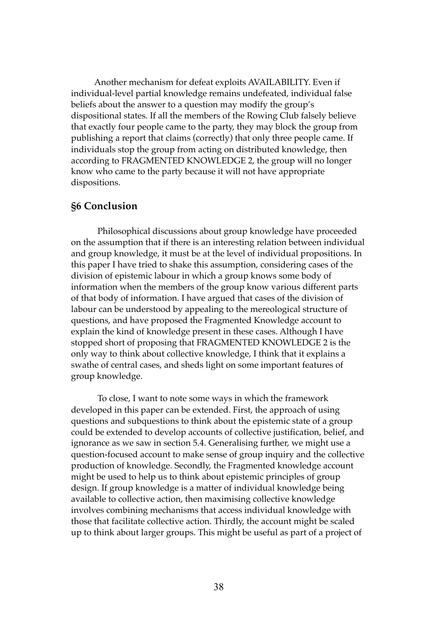Another mechanism for defeat exploits AVAILABILITY. Even if individual-level partial knowledge remains undefeated, individual false beliefs about the answer to a question may modify the group's dispositional states. If all the members of the Rowing Club falsely believe that exactly four people came to the party, they may block the group from publishing a report that claims (correctly) that only three people came. If individuals stop the group from acting on distributed knowledge, then according to FRAGMENTED KNOWLEDGE 2, the group will no longer know who came to the party because it will not have appropriate dispositions.

### **§6 Conclusion**

Philosophical discussions about group knowledge have proceeded on the assumption that if there is an interesting relation between individual and group knowledge, it must be at the level of individual propositions. In this paper I have tried to shake this assumption, considering cases of the division of epistemic labour in which a group knows some body of information when the members of the group know various different parts of that body of information. I have argued that cases of the division of labour can be understood by appealing to the mereological structure of questions, and have proposed the Fragmented Knowledge account to explain the kind of knowledge present in these cases. Although I have stopped short of proposing that FRAGMENTED KNOWLEDGE 2 is the only way to think about collective knowledge, I think that it explains a swathe of central cases, and sheds light on some important features of group knowledge.

To close, I want to note some ways in which the framework developed in this paper can be extended. First, the approach of using questions and subquestions to think about the epistemic state of a group could be extended to develop accounts of collective justification, belief, and ignorance as we saw in section 5.4. Generalising further, we might use a question-focused account to make sense of group inquiry and the collective production of knowledge. Secondly, the Fragmented knowledge account might be used to help us to think about epistemic principles of group design. If group knowledge is a matter of individual knowledge being available to collective action, then maximising collective knowledge involves combining mechanisms that access individual knowledge with those that facilitate collective action. Thirdly, the account might be scaled up to think about larger groups. This might be useful as part of a project of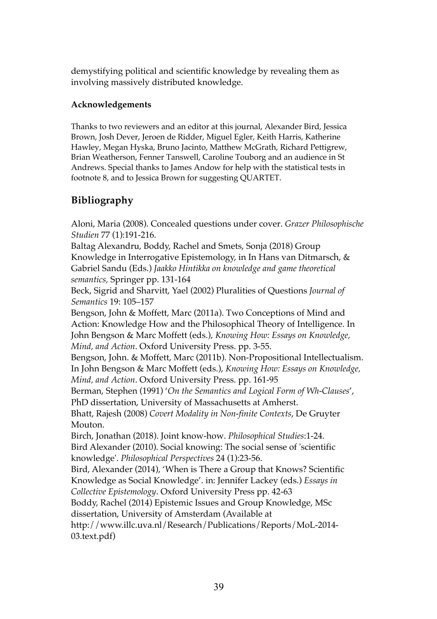demystifying political and scientific knowledge by revealing them as involving massively distributed knowledge.

### **Acknowledgements**

Thanks to two reviewers and an editor at this journal, Alexander Bird, Jessica Brown, Josh Dever, Jeroen de Ridder, Miguel Egler, Keith Harris, Katherine Hawley, Megan Hyska, Bruno Jacinto, Matthew McGrath, Richard Pettigrew, Brian Weatherson, Fenner Tanswell, Caroline Touborg and an audience in St Andrews. Special thanks to James Andow for help with the statistical tests in footnote 8, and to Jessica Brown for suggesting QUARTET.

## **Bibliography**

Aloni, Maria (2008). Concealed questions under cover. *Grazer Philosophische Studien* 77 (1):191-216.

Baltag Alexandru, Boddy, Rachel and Smets, Sonja (2018) Group Knowledge in Interrogative Epistemology, in In Hans van Ditmarsch, & Gabriel Sandu (Eds.) *Jaakko Hintikka on knowledge and game theoretical semantics,* Springer pp. 131-164

Beck, Sigrid and Sharvitt, Yael (2002) Pluralities of Questions *Journal of Semantics* 19: 105–157

Bengson, John & Moffett, Marc (2011a). Two Conceptions of Mind and Action: Knowledge How and the Philosophical Theory of Intelligence. In John Bengson & Marc Moffett (eds.), *Knowing How: Essays on Knowledge, Mind, and Action*. Oxford University Press. pp. 3-55.

Bengson, John. & Moffett, Marc (2011b). Non-Propositional Intellectualism. In John Bengson & Marc Moffett (eds.), *Knowing How: Essays on Knowledge, Mind, and Action*. Oxford University Press. pp. 161-95

Berman, Stephen (1991) '*On the Semantics and Logical Form of Wh-Clauses*', PhD dissertation, University of Massachusetts at Amherst.

Bhatt, Rajesh (2008) *Covert Modality in Non-finite Contexts*, De Gruyter Mouton.

Birch, Jonathan (2018). Joint know-how. *Philosophical Studies*:1-24. Bird Alexander (2010). Social knowing: The social sense of 'scientific knowledge'. *Philosophical Perspectives* 24 (1):23-56.

Bird, Alexander (2014), 'When is There a Group that Knows? Scientific Knowledge as Social Knowledge'. in: Jennifer Lackey (eds.) *Essays in Collective Epistemology*. Oxford University Press pp. 42-63

Boddy, Rachel (2014) Epistemic Issues and Group Knowledge, MSc

dissertation, University of Amsterdam (Available at

http://www.illc.uva.nl/Research/Publications/Reports/MoL-2014- 03.text.pdf)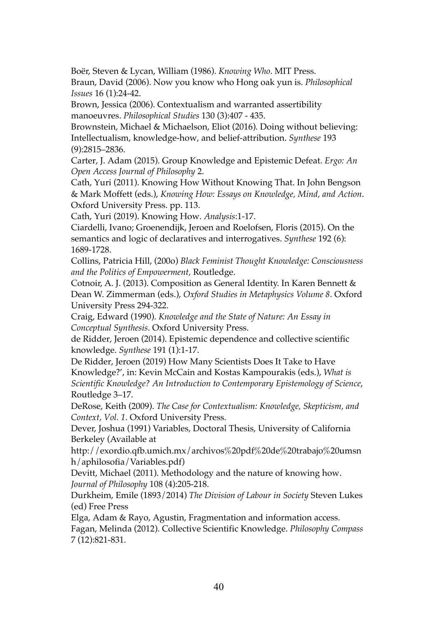Boër, Steven & Lycan, William (1986). *Knowing Who*. MIT Press.

Braun, David (2006). Now you know who Hong oak yun is. *Philosophical Issues* 16 (1):24-42.

Brown, Jessica (2006). Contextualism and warranted assertibility manoeuvres. *Philosophical Studies* 130 (3):407 - 435.

Brownstein, Michael & Michaelson, Eliot (2016). Doing without believing: Intellectualism, knowledge-how, and belief-attribution. *Synthese* 193 (9):2815–2836.

Carter, J. Adam (2015). Group Knowledge and Epistemic Defeat. *Ergo: An Open Access Journal of Philosophy* 2.

Cath, Yuri (2011). Knowing How Without Knowing That. In John Bengson & Mark Moffett (eds.), *Knowing How: Essays on Knowledge, Mind, and Action*. Oxford University Press. pp. 113.

Cath, Yuri (2019). Knowing How. *Analysis*:1-17.

Ciardelli, Ivano; Groenendijk, Jeroen and Roelofsen, Floris (2015). On the semantics and logic of declaratives and interrogatives. *Synthese* 192 (6): 1689-1728.

Collins, Patricia Hill, (200o) *Black Feminist Thought Knowledge: Consciousness and the Politics of Empowerment,* Routledge.

Cotnoir, A. J. (2013). Composition as General Identity. In Karen Bennett & Dean W. Zimmerman (eds.), *Oxford Studies in Metaphysics Volume 8*. Oxford University Press 294-322.

Craig, Edward (1990). *Knowledge and the State of Nature: An Essay in Conceptual Synthesis*. Oxford University Press.

de Ridder, Jeroen (2014). Epistemic dependence and collective scientific knowledge. *Synthese* 191 (1):1-17.

De Ridder, Jeroen (2019) How Many Scientists Does It Take to Have Knowledge?', in: Kevin McCain and Kostas Kampourakis (eds.), *What is Scientific Knowledge? An Introduction to Contemporary Epistemology of Science*, Routledge 3–17.

DeRose, Keith (2009). *The Case for Contextualism: Knowledge, Skepticism, and Context, Vol. 1*. Oxford University Press.

Dever, Joshua (1991) Variables, Doctoral Thesis, University of California Berkeley (Available at

http://exordio.qfb.umich.mx/archivos%20pdf%20de%20trabajo%20umsn h/aphilosofia/Variables.pdf)

Devitt, Michael (2011). Methodology and the nature of knowing how. *Journal of Philosophy* 108 (4):205-218.

Durkheim, Emile (1893/2014) *The Division of Labour in Society* Steven Lukes (ed) Free Press

Elga, Adam & Rayo, Agustin, Fragmentation and information access. Fagan, Melinda (2012). Collective Scientific Knowledge. *Philosophy Compass* 7 (12):821-831.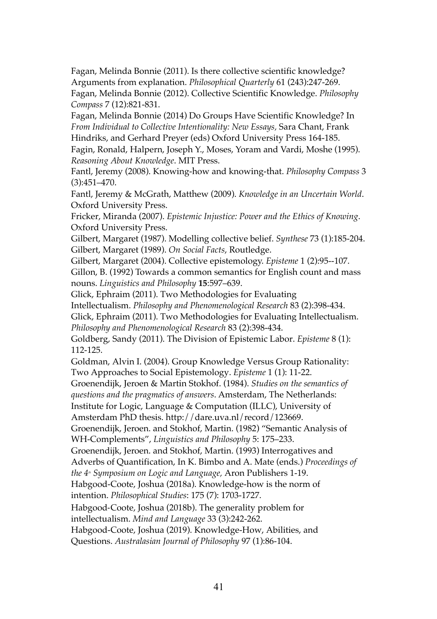Fagan, Melinda Bonnie (2011). Is there collective scientific knowledge? Arguments from explanation. *Philosophical Quarterly* 61 (243):247-269. Fagan, Melinda Bonnie (2012). Collective Scientific Knowledge. *Philosophy Compass* 7 (12):821-831.

Fagan, Melinda Bonnie (2014) Do Groups Have Scientific Knowledge? In *From Individual to Collective Intentionality: New Essays,* Sara Chant, Frank Hindriks, and Gerhard Preyer (eds) Oxford University Press 164-185.

Fagin, Ronald, Halpern, Joseph Y., Moses, Yoram and Vardi, Moshe (1995). *Reasoning About Knowledge*. MIT Press.

Fantl, Jeremy (2008). Knowing-how and knowing-that. *Philosophy Compass* 3 (3):451–470.

Fantl, Jeremy & McGrath, Matthew (2009). *Knowledge in an Uncertain World*. Oxford University Press.

Fricker, Miranda (2007). *Epistemic Injustice: Power and the Ethics of Knowing*. Oxford University Press.

Gilbert, Margaret (1987). Modelling collective belief. *Synthese* 73 (1):185-204. Gilbert, Margaret (1989). *On Social Facts*, Routledge.

Gilbert, Margaret (2004). Collective epistemology. *Episteme* 1 (2):95--107.

Gillon, B. (1992) Towards a common semantics for English count and mass nouns. *Linguistics and Philosophy* **15**:597–639.

Glick, Ephraim (2011). Two Methodologies for Evaluating

Intellectualism. *Philosophy and Phenomenological Research* 83 (2):398-434.

Glick, Ephraim (2011). Two Methodologies for Evaluating Intellectualism. *Philosophy and Phenomenological Research* 83 (2):398-434.

Goldberg, Sandy (2011). The Division of Epistemic Labor. *Episteme* 8 (1): 112-125.

Goldman, Alvin I. (2004). Group Knowledge Versus Group Rationality: Two Approaches to Social Epistemology. *Episteme* 1 (1): 11-22.

Groenendijk, Jeroen & Martin Stokhof. (1984). *Studies on the semantics of* 

*questions and the pragmatics of answers*. Amsterdam, The Netherlands:

Institute for Logic, Language & Computation (ILLC), University of

Amsterdam PhD thesis. http://dare.uva.nl/record/123669.

Groenendijk, Jeroen. and Stokhof, Martin. (1982) "Semantic Analysis of WH-Complements", *Linguistics and Philosophy* 5: 175–233.

Groenendijk, Jeroen. and Stokhof, Martin. (1993) Interrogatives and

Adverbs of Quantification, In K. Bimbo and A. Mate (ends.) *Proceedings of* 

*the 4th Symposium on Logic and Language,* Aron Publishers 1-19.

Habgood-Coote, Joshua (2018a). Knowledge-how is the norm of intention. *Philosophical Studies*: 175 (7): 1703-1727.

Habgood-Coote, Joshua (2018b). The generality problem for

intellectualism. *Mind and Language* 33 (3):242-262.

Habgood-Coote, Joshua (2019). Knowledge-How, Abilities, and Questions. *Australasian Journal of Philosophy* 97 (1):86-104.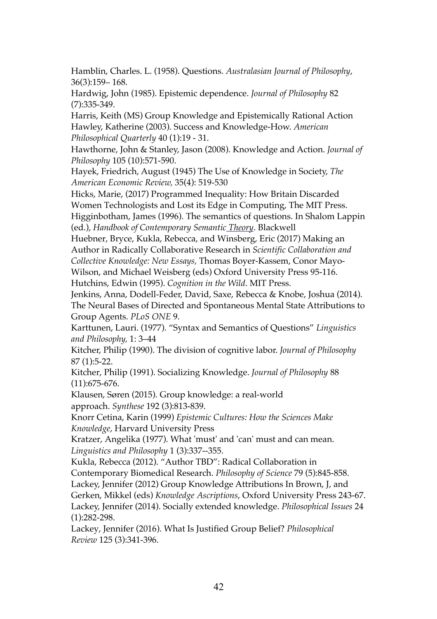Hamblin, Charles. L. (1958). Questions. *Australasian Journal of Philosophy*, 36(3):159– 168.

Hardwig, John (1985). Epistemic dependence. *Journal of Philosophy* 82 (7):335-349.

Harris, Keith (MS) Group Knowledge and Epistemically Rational Action Hawley, Katherine (2003). Success and Knowledge-How. *American Philosophical Quarterly* 40 (1):19 - 31.

Hawthorne, John & Stanley, Jason (2008). Knowledge and Action. *Journal of Philosophy* 105 (10):571-590.

Hayek, Friedrich, August (1945) The Use of Knowledge in Society, *The American Economic Review,* 35(4): 519-530

Hicks, Marie, (2017) Programmed Inequality: How Britain Discarded Women Technologists and Lost its Edge in Computing, The MIT Press. Higginbotham, James (1996). The semantics of questions. In Shalom Lappin (ed.), *Handbook of Contemporary Semantic Theory*. Blackwell

Huebner, Bryce, Kukla, Rebecca, and Winsberg, Eric (2017) Making an Author in Radically Collaborative Research in *Scientific Collaboration and Collective Knowledge: New Essays,* Thomas Boyer-Kassem, Conor Mayo-Wilson, and Michael Weisberg (eds) Oxford University Press 95-116. Hutchins, Edwin (1995). *Cognition in the Wild*. MIT Press.

Jenkins, Anna, Dodell-Feder, David, Saxe, Rebecca & Knobe, Joshua (2014). The Neural Bases of Directed and Spontaneous Mental State Attributions to Group Agents. *PLoS ONE* 9.

Karttunen, Lauri. (1977). "Syntax and Semantics of Questions" *Linguistics and Philosophy,* 1: 3–44

Kitcher, Philip (1990). The division of cognitive labor. *Journal of Philosophy* 87 (1):5-22.

Kitcher, Philip (1991). Socializing Knowledge. *Journal of Philosophy* 88 (11):675-676.

Klausen, Søren (2015). Group knowledge: a real-world approach. *Synthese* 192 (3):813-839.

Knorr Cetina, Karin (1999) *Epistemic Cultures: How the Sciences Make Knowledge*, Harvard University Press

Kratzer, Angelika (1977). What 'must' and 'can' must and can mean. *Linguistics and Philosophy* 1 (3):337--355.

Kukla, Rebecca (2012). "Author TBD": Radical Collaboration in Contemporary Biomedical Research. *Philosophy of Science* 79 (5):845-858.

Lackey, Jennifer (2012) Group Knowledge Attributions In Brown, J, and

Gerken, Mikkel (eds) *Knowledge Ascriptions*, Oxford University Press 243-67. Lackey, Jennifer (2014). Socially extended knowledge. *Philosophical Issues* 24 (1):282-298.

Lackey, Jennifer (2016). What Is Justified Group Belief? *Philosophical Review* 125 (3):341-396.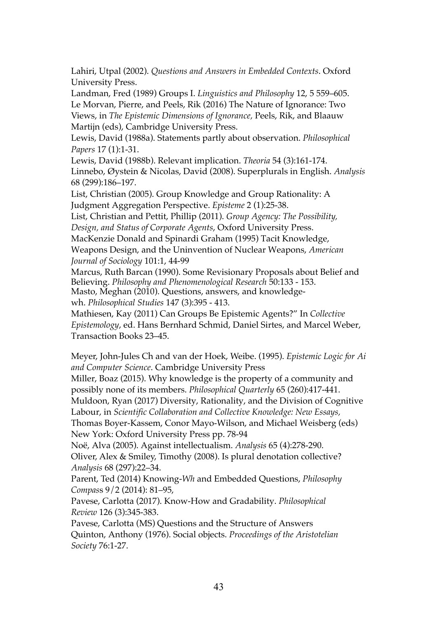Lahiri, Utpal (2002). *Questions and Answers in Embedded Contexts*. Oxford University Press.

Landman, Fred (1989) Groups I. *Linguistics and Philosophy* 12, 5 559–605. Le Morvan, Pierre, and Peels, Rik (2016) The Nature of Ignorance: Two Views, in *The Epistemic Dimensions of Ignorance,* Peels, Rik, and Blaauw Martijn (eds), Cambridge University Press.

Lewis, David (1988a). Statements partly about observation. *Philosophical Papers* 17 (1):1-31.

Lewis, David (1988b). Relevant implication. *Theoria* 54 (3):161-174. Linnebo, Øystein & Nicolas, David (2008). Superplurals in English. *Analysis* 68 (299):186–197.

List, Christian (2005). Group Knowledge and Group Rationality: A Judgment Aggregation Perspective. *Episteme* 2 (1):25-38.

List, Christian and Pettit, Phillip (2011). *Group Agency: The Possibility, Design, and Status of Corporate Agents*, Oxford University Press.

MacKenzie Donald and Spinardi Graham (1995) Tacit Knowledge,

Weapons Design, and the Uninvention of Nuclear Weapons, *American Journal of Sociology* 101:1, 44-99

Marcus, Ruth Barcan (1990). Some Revisionary Proposals about Belief and Believing. *Philosophy and Phenomenological Research* 50:133 - 153. Masto, Meghan (2010). Questions, answers, and knowledgewh. *Philosophical Studies* 147 (3):395 - 413.

Mathiesen, Kay (2011) Can Groups Be Epistemic Agents?" In *Collective Epistemology*, ed. Hans Bernhard Schmid, Daniel Sirtes, and Marcel Weber, Transaction Books 23–45.

Meyer, John-Jules Ch and van der Hoek, Weibe. (1995). *Epistemic Logic for Ai and Computer Science*. Cambridge University Press

Miller, Boaz (2015). Why knowledge is the property of a community and possibly none of its members. *Philosophical Quarterly* 65 (260):417-441. Muldoon, Ryan (2017) Diversity, Rationality, and the Division of Cognitive Labour, in *Scientific Collaboration and Collective Knowledge: New Essays,*  Thomas Boyer-Kassem, Conor Mayo-Wilson, and Michael Weisberg (eds)

New York: Oxford University Press pp. 78-94 Noë, Alva (2005). Against intellectualism. *Analysis* 65 (4):278-290.

Oliver, Alex & Smiley, Timothy (2008). Is plural denotation collective? *Analysis* 68 (297):22–34.

Parent, Ted (2014) Knowing-*Wh* and Embedded Questions, *Philosophy Compas*s 9/2 (2014): 81–95,

Pavese, Carlotta (2017). Know-How and Gradability. *Philosophical Review* 126 (3):345-383.

Pavese, Carlotta (MS) Questions and the Structure of Answers Quinton, Anthony (1976). Social objects. *Proceedings of the Aristotelian Society* 76:1-27.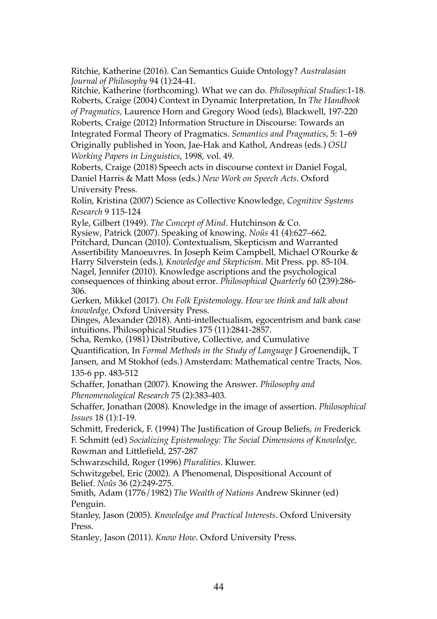Ritchie, Katherine (2016). Can Semantics Guide Ontology? *Australasian Journal of Philosophy* 94 (1):24-41.

Ritchie, Katherine (forthcoming). What we can do. *Philosophical Studies*:1-18. Roberts, Craige (2004) Context in Dynamic Interpretation, In *The Handbook* 

*of Pragmatics,* Laurence Horn and Gregory Wood (eds), Blackwell, 197-220

Roberts, Craige (2012) Information Structure in Discourse: Towards an Integrated Formal Theory of Pragmatics. *Semantics and Pragmatics*, 5: 1–69 Originally published in Yoon, Jae-Hak and Kathol, Andreas (eds.) *OSU Working Papers in Linguistics*, 1998, vol. 49.

Roberts, Craige (2018) Speech acts in discourse context i*n* Daniel Fogal, Daniel Harris & Matt Moss (eds.) *New Work on Speech Acts*. Oxford University Press.

Rolin, Kristina (2007) Science as Collective Knowledge, *Cognitive Systems Research* 9 115-124

Ryle, Gilbert (1949). *The Concept of Mind*. Hutchinson & Co.

Rysiew, Patrick (2007). Speaking of knowing. *Noûs* 41 (4):627–662. Pritchard, Duncan (2010). Contextualism, Skepticism and Warranted Assertibility Manoeuvres. In Joseph Keim Campbell, Michael O'Rourke & Harry Silverstein (eds.), *Knowledge and Skepticism*. Mit Press. pp. 85-104. Nagel, Jennifer (2010). Knowledge ascriptions and the psychological consequences of thinking about error. *Philosophical Quarterly* 60 (239):286- 306.

Gerken, Mikkel (2017). *On Folk Epistemology. How we think and talk about knowledge,* Oxford University Press.

Dinges, Alexander (2018). Anti-intellectualism, egocentrism and bank case intuitions. Philosophical Studies 175 (11):2841-2857.

Scha, Remko, (1981) Distributive, Collective, and Cumulative

Quantification, In *Formal Methods in the Study of Language* J Groenendijk, T Jansen, and M Stokhof (eds.) Amsterdam: Mathematical centre Tracts, Nos. 135-6 pp. 483-512

Schaffer, Jonathan (2007). Knowing the Answer. *Philosophy and Phenomenological Research* 75 (2):383-403.

Schaffer, Jonathan (2008). Knowledge in the image of assertion. *Philosophical Issues* 18 (1):1-19.

Schmitt, Frederick, F. (1994) The Justification of Group Beliefs, *in* Frederick F. Schmitt (ed) *Socializing Epistemology: The Social Dimensions of Knowledge,*  Rowman and Littlefield, 257-287

Schwarzschild, Roger (1996) *Pluralities*. Kluwer.

Schwitzgebel, Eric (2002). A Phenomenal, Dispositional Account of Belief. *Noûs* 36 (2):249-275.

Smith, Adam (1776/1982) *The Wealth of Nations* Andrew Skinner (ed) Penguin.

Stanley, Jason (2005). *Knowledge and Practical Interests*. Oxford University Press.

Stanley, Jason (2011). *Know How*. Oxford University Press.